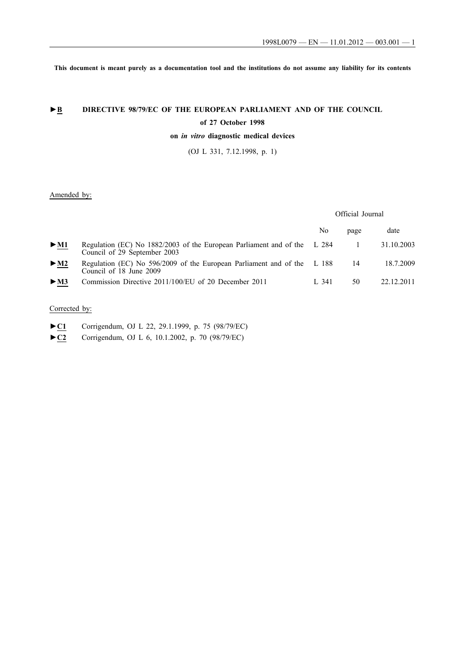Official Journal

**This document is meant purely as a documentation tool and the institutions do not assume any liability for its contents**

# ►**B** DIRECTIVE 98/79/EC OF THE EUROPEAN PARLIAMENT AND OF THE COUNCIL

**of 27 October 1998**

# **on** *in vitro* **diagnostic medical devices**

(OJ L 331, 7.12.1998, p. 1)

# Amended by:

|                            |                                                                                                          | No    | page | date       |
|----------------------------|----------------------------------------------------------------------------------------------------------|-------|------|------------|
| $\triangleright$ <u>M1</u> | Regulation (EC) No 1882/2003 of the European Parliament and of the L 284<br>Council of 29 September 2003 |       |      | 31.10.2003 |
| $\blacktriangleright$ M2   | Regulation (EC) No 596/2009 of the European Parliament and of the L 188<br>Council of 18 June 2009       |       | 14   | 18.7.2009  |
| $>$ M3                     | Commission Directive 2011/100/EU of 20 December 2011                                                     | L 341 | 50   | 22 12 2011 |

# Corrected by:

- ►**C1** Corrigendum, OJ L 22, 29.1.1999, p. 75 (98/79/EC)
- ►**C2** Corrigendum, OJ L 6, 10.1.2002, p. 70 (98/79/EC)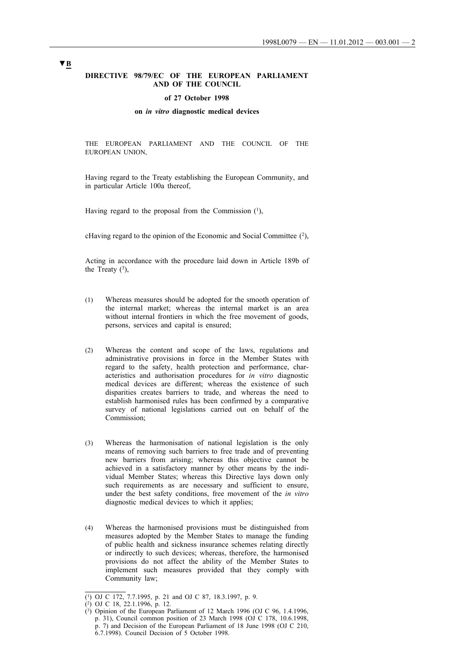### **DIRECTIVE 98/79/EC OF THE EUROPEAN PARLIAMENT AND OF THE COUNCIL**

#### **of 27 October 1998**

### **on** *in vitro* **diagnostic medical devices**

THE EUROPEAN PARLIAMENT AND THE COUNCIL OF THE EUROPEAN UNION,

Having regard to the Treaty establishing the European Community, and in particular Article 100a thereof,

Having regard to the proposal from the Commission  $(1)$ ,

cHaving regard to the opinion of the Economic and Social Committee  $(2)$ ,

Acting in accordance with the procedure laid down in Article 189b of the Treaty  $(3)$ ,

- (1) Whereas measures should be adopted for the smooth operation of the internal market; whereas the internal market is an area without internal frontiers in which the free movement of goods, persons, services and capital is ensured;
- (2) Whereas the content and scope of the laws, regulations and administrative provisions in force in the Member States with regard to the safety, health protection and performance, characteristics and authorisation procedures for *in vitro* diagnostic medical devices are different; whereas the existence of such disparities creates barriers to trade, and whereas the need to establish harmonised rules has been confirmed by a comparative survey of national legislations carried out on behalf of the Commission;
- (3) Whereas the harmonisation of national legislation is the only means of removing such barriers to free trade and of preventing new barriers from arising; whereas this objective cannot be achieved in a satisfactory manner by other means by the individual Member States; whereas this Directive lays down only such requirements as are necessary and sufficient to ensure, under the best safety conditions, free movement of the *in vitro* diagnostic medical devices to which it applies;
- (4) Whereas the harmonised provisions must be distinguished from measures adopted by the Member States to manage the funding of public health and sickness insurance schemes relating directly or indirectly to such devices; whereas, therefore, the harmonised provisions do not affect the ability of the Member States to implement such measures provided that they comply with Community law;

 $\overline{(^1)}$  OJ C 172, 7.7.1995, p. 21 and OJ C 87, 18.3.1997, p. 9.

 $(2)$  OJ C 18, 22.1.1996, p. 12.

 $(3)$  Opinion of the European Parliament of 12 March 1996 (OJ C 96, 1.4.1996, p. 31), Council common position of 23 March 1998 (OJ C 178, 10.6.1998, p. 7) and Decision of the European Parliament of 18 June 1998 (OJ C 210, 6.7.1998). Council Decision of 5 October 1998.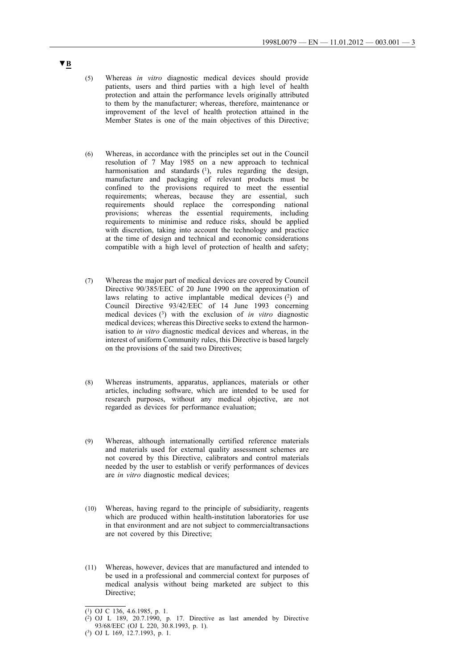- (5) Whereas *in vitro* diagnostic medical devices should provide patients, users and third parties with a high level of health protection and attain the performance levels originally attributed to them by the manufacturer; whereas, therefore, maintenance or improvement of the level of health protection attained in the Member States is one of the main objectives of this Directive;
- (6) Whereas, in accordance with the principles set out in the Council resolution of 7 May 1985 on a new approach to technical harmonisation and standards  $(1)$ , rules regarding the design, manufacture and packaging of relevant products must be confined to the provisions required to meet the essential requirements; whereas, because they are essential, such requirements should replace the corresponding national provisions; whereas the essential requirements, including requirements to minimise and reduce risks, should be applied with discretion, taking into account the technology and practice at the time of design and technical and economic considerations compatible with a high level of protection of health and safety;
- (7) Whereas the major part of medical devices are covered by Council Directive 90/385/EEC of 20 June 1990 on the approximation of laws relating to active implantable medical devices (2) and Council Directive 93/42/EEC of 14 June 1993 concerning medical devices (3) with the exclusion of *in vitro* diagnostic medical devices; whereas this Directive seeks to extend the harmonisation to *in vitro* diagnostic medical devices and whereas, in the interest of uniform Community rules, this Directive is based largely on the provisions of the said two Directives;
- (8) Whereas instruments, apparatus, appliances, materials or other articles, including software, which are intended to be used for research purposes, without any medical objective, are not regarded as devices for performance evaluation;
- (9) Whereas, although internationally certified reference materials and materials used for external quality assessment schemes are not covered by this Directive, calibrators and control materials needed by the user to establish or verify performances of devices are *in vitro* diagnostic medical devices;
- (10) Whereas, having regard to the principle of subsidiarity, reagents which are produced within health-institution laboratories for use in that environment and are not subject to commercialtransactions are not covered by this Directive;
- (11) Whereas, however, devices that are manufactured and intended to be used in a professional and commercial context for purposes of medical analysis without being marketed are subject to this Directive;

 $\overline{(^1)}$  OJ C 136, 4.6.1985, p. 1.

<sup>(2)</sup> OJ L 189, 20.7.1990, p. 17. Directive as last amended by Directive 93/68/EEC (OJ L 220, 30.8.1993, p. 1).

<sup>(3)</sup> OJ L 169, 12.7.1993, p. 1.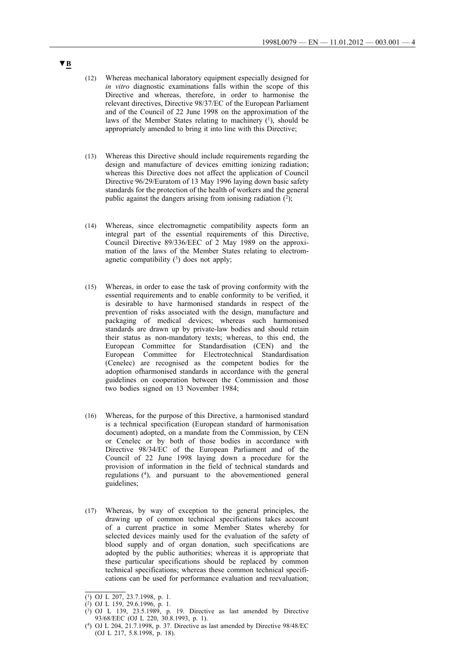- (12) Whereas mechanical laboratory equipment especially designed for *in vitro* diagnostic examinations falls within the scope of this Directive and whereas, therefore, in order to harmonise the relevant directives, Directive 98/37/EC of the European Parliament and of the Council of 22 June 1998 on the approximation of the laws of the Member States relating to machinery  $(1)$ , should be appropriately amended to bring it into line with this Directive;
- (13) Whereas this Directive should include requirements regarding the design and manufacture of devices emitting ionizing radiation; whereas this Directive does not affect the application of Council Directive 96/29/Euratom of 13 May 1996 laying down basic safety standards for the protection of the health of workers and the general public against the dangers arising from ionising radiation  $\binom{2}{1}$ .
- (14) Whereas, since electromagnetic compatibility aspects form an integral part of the essential requirements of this Directive, Council Directive 89/336/EEC of 2 May 1989 on the approximation of the laws of the Member States relating to electromagnetic compatibility  $(3)$  does not apply;
- (15) Whereas, in order to ease the task of proving conformity with the essential requirements and to enable conformity to be verified, it is desirable to have harmonised standards in respect of the prevention of risks associated with the design, manufacture and packaging of medical devices; whereas such harmonised standards are drawn up by private-law bodies and should retain their status as non-mandatory texts; whereas, to this end, the European Committee for Standardisation (CEN) and the European Committee for Electrotechnical Standardisation (Cenelec) are recognised as the competent bodies for the adoption ofharmonised standards in accordance with the general guidelines on cooperation between the Commission and those two bodies signed on 13 November 1984;
- (16) Whereas, for the purpose of this Directive, a harmonised standard is a technical specification (European standard of harmonisation document) adopted, on a mandate from the Commission, by CEN or Cenelec or by both of those bodies in accordance with Directive 98/34/EC of the European Parliament and of the Council of 22 June 1998 laying down a procedure for the provision of information in the field of technical standards and regulations (4), and pursuant to the abovementioned general guidelines;
- (17) Whereas, by way of exception to the general principles, the drawing up of common technical specifications takes account of a current practice in some Member States whereby for selected devices mainly used for the evaluation of the safety of blood supply and of organ donation, such specifications are adopted by the public authorities; whereas it is appropriate that these particular specifications should be replaced by common technical specifications; whereas these common technical specifications can be used for performance evaluation and reevaluation;

 $\overline{(^1)}$  OJ L 207, 23.7.1998, p. 1.

<sup>(2)</sup> OJ L 159, 29.6.1996, p. 1.

 $(3)$  OJ L 139, 23.5.1989, p. 19. Directive as last amended by Directive 93/68/EEC (OJ L 220, 30.8.1993, p. 1).

<sup>(4)</sup> OJ L 204, 21.7.1998, p. 37. Directive as last amended by Directive 98/48/EC (OJ L 217, 5.8.1998, p. 18).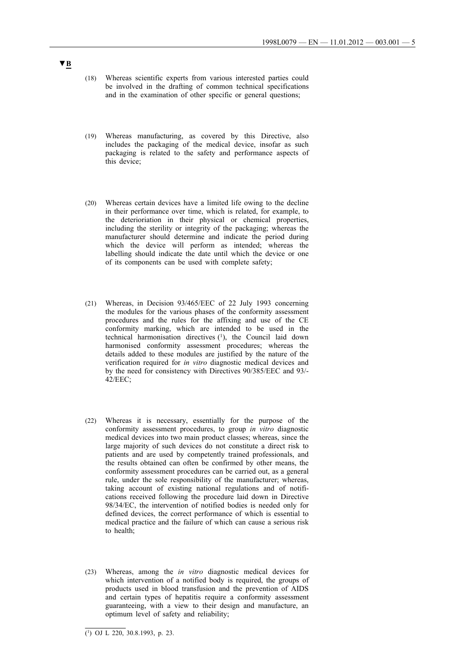- (18) Whereas scientific experts from various interested parties could be involved in the drafting of common technical specifications and in the examination of other specific or general questions;
- (19) Whereas manufacturing, as covered by this Directive, also includes the packaging of the medical device, insofar as such packaging is related to the safety and performance aspects of this device;
- (20) Whereas certain devices have a limited life owing to the decline in their performance over time, which is related, for example, to the deterioriation in their physical or chemical properties, including the sterility or integrity of the packaging; whereas the manufacturer should determine and indicate the period during which the device will perform as intended; whereas the labelling should indicate the date until which the device or one of its components can be used with complete safety;
- (21) Whereas, in Decision 93/465/EEC of 22 July 1993 concerning the modules for the various phases of the conformity assessment procedures and the rules for the affixing and use of the CE conformity marking, which are intended to be used in the technical harmonisation directives (1), the Council laid down harmonised conformity assessment procedures; whereas the details added to these modules are justified by the nature of the verification required for *in vitro* diagnostic medical devices and by the need for consistency with Directives 90/385/EEC and 93/  $42/EEC$ ;
- (22) Whereas it is necessary, essentially for the purpose of the conformity assessment procedures, to group *in vitro* diagnostic medical devices into two main product classes; whereas, since the large majority of such devices do not constitute a direct risk to patients and are used by competently trained professionals, and the results obtained can often be confirmed by other means, the conformity assessment procedures can be carried out, as a general rule, under the sole responsibility of the manufacturer; whereas, taking account of existing national regulations and of notifications received following the procedure laid down in Directive 98/34/EC, the intervention of notified bodies is needed only for defined devices, the correct performance of which is essential to medical practice and the failure of which can cause a serious risk to health;
- (23) Whereas, among the *in vitro* diagnostic medical devices for which intervention of a notified body is required, the groups of products used in blood transfusion and the prevention of AIDS and certain types of hepatitis require a conformity assessment guaranteeing, with a view to their design and manufacture, an optimum level of safety and reliability;

(1) OJ L 220, 30.8.1993, p. 23.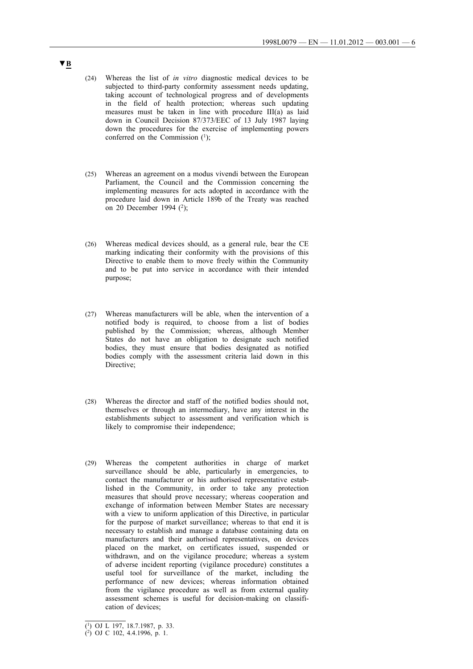- (24) Whereas the list of *in vitro* diagnostic medical devices to be subjected to third-party conformity assessment needs updating, taking account of technological progress and of developments in the field of health protection; whereas such updating measures must be taken in line with procedure III(a) as laid down in Council Decision 87/373/EEC of 13 July 1987 laying down the procedures for the exercise of implementing powers conferred on the Commission  $(1)$ ;
- (25) Whereas an agreement on a modus vivendi between the European Parliament, the Council and the Commission concerning the implementing measures for acts adopted in accordance with the procedure laid down in Article 189b of the Treaty was reached on 20 December 1994 (2);
- (26) Whereas medical devices should, as a general rule, bear the CE marking indicating their conformity with the provisions of this Directive to enable them to move freely within the Community and to be put into service in accordance with their intended purpose;
- (27) Whereas manufacturers will be able, when the intervention of a notified body is required, to choose from a list of bodies published by the Commission; whereas, although Member States do not have an obligation to designate such notified bodies, they must ensure that bodies designated as notified bodies comply with the assessment criteria laid down in this Directive;
- (28) Whereas the director and staff of the notified bodies should not, themselves or through an intermediary, have any interest in the establishments subject to assessment and verification which is likely to compromise their independence;
- (29) Whereas the competent authorities in charge of market surveillance should be able, particularly in emergencies, to contact the manufacturer or his authorised representative established in the Community, in order to take any protection measures that should prove necessary; whereas cooperation and exchange of information between Member States are necessary with a view to uniform application of this Directive, in particular for the purpose of market surveillance; whereas to that end it is necessary to establish and manage a database containing data on manufacturers and their authorised representatives, on devices placed on the market, on certificates issued, suspended or withdrawn, and on the vigilance procedure; whereas a system of adverse incident reporting (vigilance procedure) constitutes a useful tool for surveillance of the market, including the performance of new devices; whereas information obtained from the vigilance procedure as well as from external quality assessment schemes is useful for decision-making on classification of devices;

<sup>(1)</sup> OJ L 197, 18.7.1987, p. 33.

<sup>(2)</sup> OJ C 102, 4.4.1996, p. 1.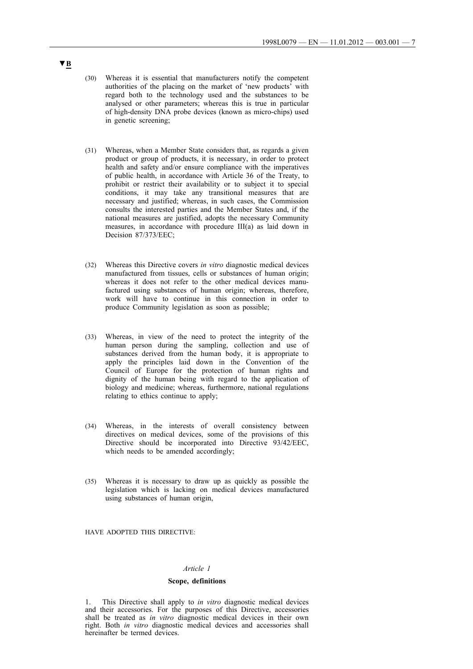- (30) Whereas it is essential that manufacturers notify the competent authorities of the placing on the market of 'new products' with regard both to the technology used and the substances to be analysed or other parameters; whereas this is true in particular of high-density DNA probe devices (known as micro-chips) used in genetic screening;
- (31) Whereas, when a Member State considers that, as regards a given product or group of products, it is necessary, in order to protect health and safety and/or ensure compliance with the imperatives of public health, in accordance with Article 36 of the Treaty, to prohibit or restrict their availability or to subject it to special conditions, it may take any transitional measures that are necessary and justified; whereas, in such cases, the Commission consults the interested parties and the Member States and, if the national measures are justified, adopts the necessary Community measures, in accordance with procedure III(a) as laid down in Decision 87/373/EEC;
- (32) Whereas this Directive covers *in vitro* diagnostic medical devices manufactured from tissues, cells or substances of human origin; whereas it does not refer to the other medical devices manufactured using substances of human origin; whereas, therefore, work will have to continue in this connection in order to produce Community legislation as soon as possible;
- (33) Whereas, in view of the need to protect the integrity of the human person during the sampling, collection and use of substances derived from the human body, it is appropriate to apply the principles laid down in the Convention of the Council of Europe for the protection of human rights and dignity of the human being with regard to the application of biology and medicine; whereas, furthermore, national regulations relating to ethics continue to apply;
- (34) Whereas, in the interests of overall consistency between directives on medical devices, some of the provisions of this Directive should be incorporated into Directive 93/42/EEC, which needs to be amended accordingly;
- (35) Whereas it is necessary to draw up as quickly as possible the legislation which is lacking on medical devices manufactured using substances of human origin,

HAVE ADOPTED THIS DIRECTIVE:

#### *Article 1*

#### **Scope, definitions**

1. This Directive shall apply to *in vitro* diagnostic medical devices and their accessories. For the purposes of this Directive, accessories shall be treated as *in vitro* diagnostic medical devices in their own right. Both *in vitro* diagnostic medical devices and accessories shall hereinafter be termed devices.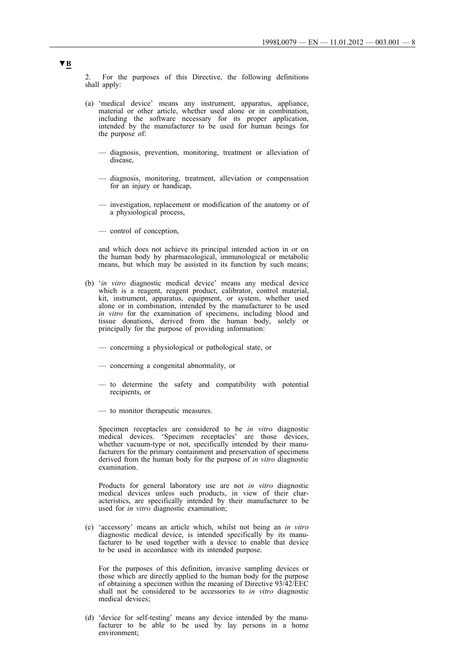2. For the purposes of this Directive, the following definitions shall apply:

- (a) 'medical device' means any instrument, apparatus, appliance, material or other article, whether used alone or in combination, including the software necessary for its proper application, intended by the manufacturer to be used for human beings for the purpose of:
	- diagnosis, prevention, monitoring, treatment or alleviation of disease,
	- diagnosis, monitoring, treatment, alleviation or compensation for an injury or handicap,
	- investigation, replacement or modification of the anatomy or of a physiological process,
	- control of conception,

and which does not achieve its principal intended action in or on the human body by pharmacological, immunological or metabolic means, but which may be assisted in its function by such means;

- (b) '*in vitro* diagnostic medical device' means any medical device which is a reagent, reagent product, calibrator, control material, kit, instrument, apparatus, equipment, or system, whether used alone or in combination, intended by the manufacturer to be used *in vitro* for the examination of specimens, including blood and tissue donations, derived from the human body, solely or principally for the purpose of providing information:
	- concerning a physiological or pathological state, or
	- concerning a congenital abnormality, or
	- to determine the safety and compatibility with potential recipients, or
	- to monitor therapeutic measures.

Specimen receptacles are considered to be *in vitro* diagnostic medical devices. 'Specimen receptacles' are those devices, whether vacuum-type or not, specifically intended by their manufacturers for the primary containment and preservation of specimens derived from the human body for the purpose of *in vitro* diagnostic examination.

Products for general laboratory use are not *in vitro* diagnostic medical devices unless such products, in view of their characteristics, are specifically intended by their manufacturer to be used for *in vitro* diagnostic examination;

(c) 'accessory' means an article which, whilst not being an *in vitro* diagnostic medical device, is intended specifically by its manufacturer to be used together with a device to enable that device to be used in accordance with its intended purpose.

For the purposes of this definition, invasive sampling devices or those which are directly applied to the human body for the purpose of obtaining a specimen within the meaning of Directive 93/42/EEC shall not be considered to be accessories to *in vitro* diagnostic medical devices;

(d) 'device for self-testing' means any device intended by the manufacturer to be able to be used by lay persons in a home environment;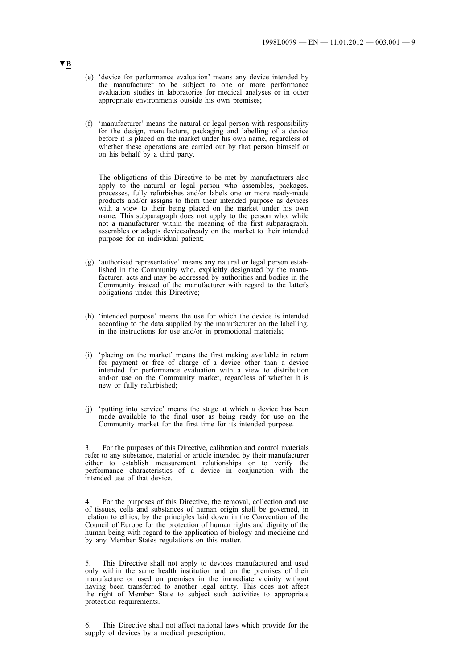- (e) 'device for performance evaluation' means any device intended by the manufacturer to be subject to one or more performance evaluation studies in laboratories for medical analyses or in other appropriate environments outside his own premises;
- (f) 'manufacturer' means the natural or legal person with responsibility for the design, manufacture, packaging and labelling of a device before it is placed on the market under his own name, regardless of whether these operations are carried out by that person himself or on his behalf by a third party.

The obligations of this Directive to be met by manufacturers also apply to the natural or legal person who assembles, packages, processes, fully refurbishes and/or labels one or more ready-made products and/or assigns to them their intended purpose as devices with a view to their being placed on the market under his own name. This subparagraph does not apply to the person who, while not a manufacturer within the meaning of the first subparagraph, assembles or adapts devicesalready on the market to their intended purpose for an individual patient;

- (g) 'authorised representative' means any natural or legal person established in the Community who, explicitly designated by the manufacturer, acts and may be addressed by authorities and bodies in the Community instead of the manufacturer with regard to the latter's obligations under this Directive;
- (h) 'intended purpose' means the use for which the device is intended according to the data supplied by the manufacturer on the labelling, in the instructions for use and/or in promotional materials;
- (i) 'placing on the market' means the first making available in return for payment or free of charge of a device other than a device intended for performance evaluation with a view to distribution and/or use on the Community market, regardless of whether it is new or fully refurbished;
- (j) 'putting into service' means the stage at which a device has been made available to the final user as being ready for use on the Community market for the first time for its intended purpose.

3. For the purposes of this Directive, calibration and control materials refer to any substance, material or article intended by their manufacturer either to establish measurement relationships or to verify the performance characteristics of a device in conjunction with the intended use of that device.

4. For the purposes of this Directive, the removal, collection and use of tissues, cells and substances of human origin shall be governed, in relation to ethics, by the principles laid down in the Convention of the Council of Europe for the protection of human rights and dignity of the human being with regard to the application of biology and medicine and by any Member States regulations on this matter.

5. This Directive shall not apply to devices manufactured and used only within the same health institution and on the premises of their manufacture or used on premises in the immediate vicinity without having been transferred to another legal entity. This does not affect the right of Member State to subject such activities to appropriate protection requirements.

6. This Directive shall not affect national laws which provide for the supply of devices by a medical prescription.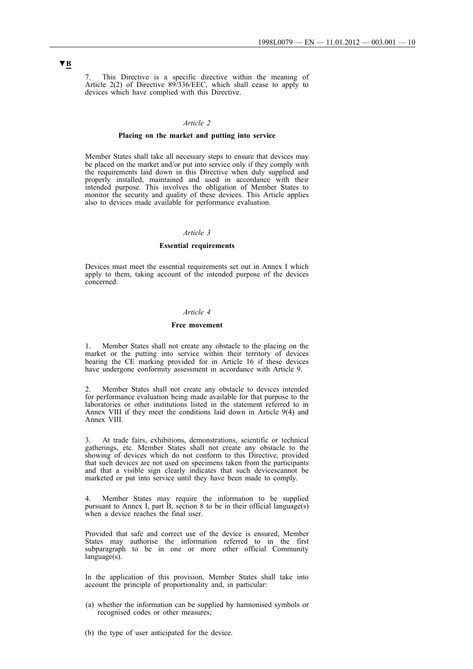This Directive is a specific directive within the meaning of Article 2(2) of Directive 89/336/EEC, which shall cease to apply to devices which have complied with this Directive.

### *Article 2*

### **Placing on the market and putting into service**

Member States shall take all necessary steps to ensure that devices may be placed on the market and/or put into service only if they comply with the requirements laid down in this Directive when duly supplied and properly installed, maintained and used in accordance with their intended purpose. This involves the obligation of Member States to monitor the security and quality of these devices. This Article applies also to devices made available for performance evaluation.

#### *Article 3*

### **Essential requirements**

Devices must meet the essential requirements set out in Annex I which apply to them, taking account of the intended purpose of the devices concerned.

### *Article 4*

### **Free movement**

1. Member States shall not create any obstacle to the placing on the market or the putting into service within their territory of devices bearing the CE marking provided for in Article 16 if these devices have undergone conformity assessment in accordance with Article 9.

2. Member States shall not create any obstacle to devices intended for performance evaluation being made available for that purpose to the laboratories or other institutions listed in the statement referred to in Annex VIII if they meet the conditions laid down in Article 9(4) and Annex VIII.

3. At trade fairs, exhibitions, demonstrations, scientific or technical gatherings, etc. Member States shall not create any obstacle to the showing of devices which do not conform to this Directive, provided that such devices are not used on specimens taken from the participants and that a visible sign clearly indicates that such devicescannot be marketed or put into service until they have been made to comply.

Member States may require the information to be supplied pursuant to Annex I, part B, section 8 to be in their official language(s) when a device reaches the final user.

Provided that safe and correct use of the device is ensured, Member States may authorise the information referred to in the first subparagraph to be in one or more other official Community  $language(s)]$ .

In the application of this provision, Member States shall take into account the principle of proportionality and, in particular:

- (a) whether the information can be supplied by harmonised symbols or recognised codes or other measures;
- (b) the type of user anticipated for the device.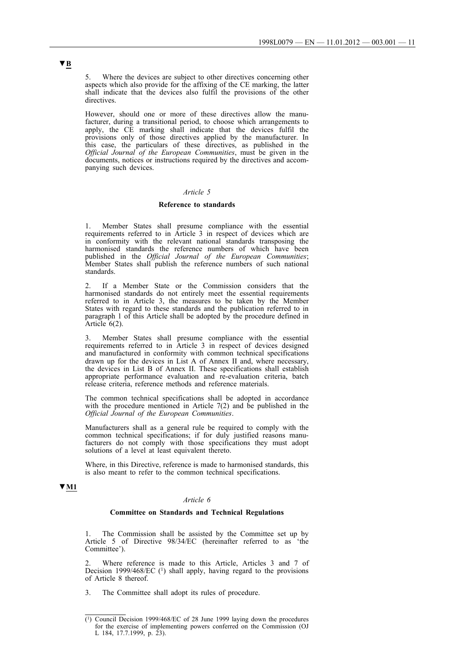5. Where the devices are subject to other directives concerning other aspects which also provide for the affixing of the CE marking, the latter shall indicate that the devices also fulfil the provisions of the other directives.

However, should one or more of these directives allow the manufacturer, during a transitional period, to choose which arrangements to apply, the CE marking shall indicate that the devices fulfil the provisions only of those directives applied by the manufacturer. In this case, the particulars of these directives, as published in the *Official Journal of the European Communities*, must be given in the documents, notices or instructions required by the directives and accompanying such devices.

### *Article 5*

## **Reference to standards**

Member States shall presume compliance with the essential requirements referred to in Article 3 in respect of devices which are in conformity with the relevant national standards transposing the harmonised standards the reference numbers of which have been published in the *Official Journal of the European Communities*; Member States shall publish the reference numbers of such national standards.

2. If a Member State or the Commission considers that the harmonised standards do not entirely meet the essential requirements referred to in Article 3, the measures to be taken by the Member States with regard to these standards and the publication referred to in paragraph 1 of this Article shall be adopted by the procedure defined in Article 6(2).

Member States shall presume compliance with the essential requirements referred to in Article 3 in respect of devices designed and manufactured in conformity with common technical specifications drawn up for the devices in List A of Annex II and, where necessary, the devices in List B of Annex II. These specifications shall establish appropriate performance evaluation and re-evaluation criteria, batch release criteria, reference methods and reference materials.

The common technical specifications shall be adopted in accordance with the procedure mentioned in Article  $7(2)$  and be published in the *Official Journal of the European Communities*.

Manufacturers shall as a general rule be required to comply with the common technical specifications; if for duly justified reasons manufacturers do not comply with those specifications they must adopt solutions of a level at least equivalent thereto.

Where, in this Directive, reference is made to harmonised standards, this is also meant to refer to the common technical specifications.

## **▼M1**

## *Article 6*

## **Committee on Standards and Technical Regulations**

The Commission shall be assisted by the Committee set up by Article 5 of Directive 98/34/EC (hereinafter referred to as 'the Committee').

2. Where reference is made to this Article, Articles 3 and 7 of Decision 1999/468/EC  $(1)$  shall apply, having regard to the provisions of Article 8 thereof.

3. The Committee shall adopt its rules of procedure.

<sup>(1)</sup> Council Decision 1999/468/EC of 28 June 1999 laying down the procedures for the exercise of implementing powers conferred on the Commission (OJ L 184, 17.7.1999, p. 23).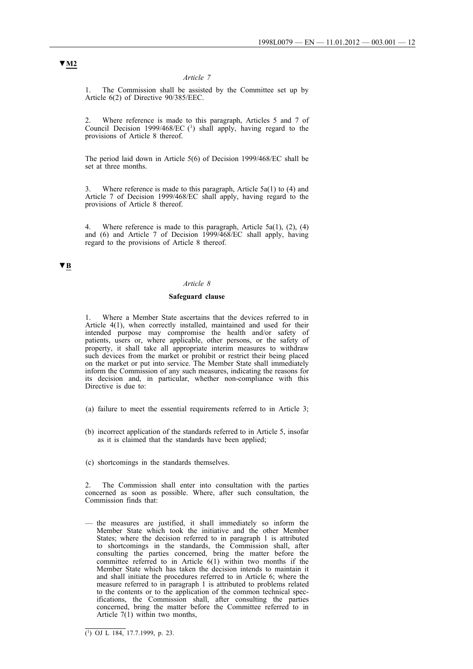### *Article 7*

1. The Commission shall be assisted by the Committee set up by Article 6(2) of Directive 90/385/EEC.

2. Where reference is made to this paragraph, Articles 5 and 7 of Council Decision 1999/468/EC  $(1)$  shall apply, having regard to the provisions of Article 8 thereof.

The period laid down in Article 5(6) of Decision 1999/468/EC shall be set at three months.

Where reference is made to this paragraph, Article  $5a(1)$  to (4) and Article 7 of Decision 1999/468/EC shall apply, having regard to the provisions of Article 8 thereof.

4. Where reference is made to this paragraph, Article 5a(1), (2), (4) and (6) and Article 7 of Decision 1999/468/EC shall apply, having regard to the provisions of Article 8 thereof.

# **▼B**

### *Article 8*

## **Safeguard clause**

1. Where a Member State ascertains that the devices referred to in Article 4(1), when correctly installed, maintained and used for their intended purpose may compromise the health and/or safety of patients, users or, where applicable, other persons, or the safety of property, it shall take all appropriate interim measures to withdraw such devices from the market or prohibit or restrict their being placed on the market or put into service. The Member State shall immediately inform the Commission of any such measures, indicating the reasons for its decision and, in particular, whether non-compliance with this Directive is due to:

- (a) failure to meet the essential requirements referred to in Article 3;
- (b) incorrect application of the standards referred to in Article 5, insofar as it is claimed that the standards have been applied;
- (c) shortcomings in the standards themselves.

The Commission shall enter into consultation with the parties concerned as soon as possible. Where, after such consultation, the Commission finds that:

— the measures are justified, it shall immediately so inform the Member State which took the initiative and the other Member States; where the decision referred to in paragraph 1 is attributed to shortcomings in the standards, the Commission shall, after consulting the parties concerned, bring the matter before the committee referred to in Article 6(1) within two months if the Member State which has taken the decision intends to maintain it and shall initiate the procedures referred to in Article 6; where the measure referred to in paragraph 1 is attributed to problems related to the contents or to the application of the common technical specifications, the Commission shall, after consulting the parties concerned, bring the matter before the Committee referred to in Article 7(1) within two months,

# **▼M2**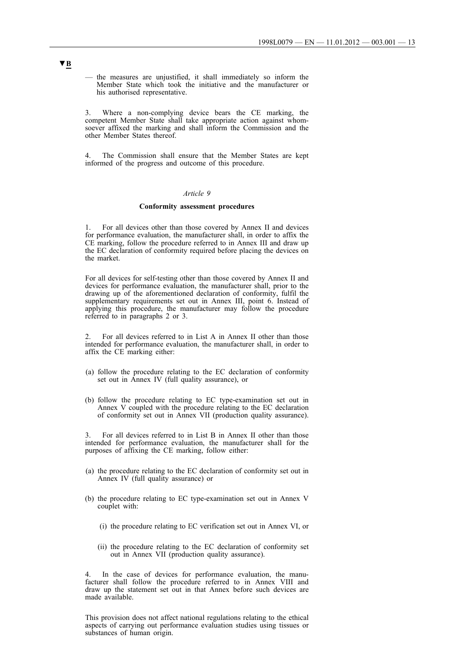— the measures are unjustified, it shall immediately so inform the Member State which took the initiative and the manufacturer or his authorised representative.

3. Where a non-complying device bears the CE marking, the competent Member State shall take appropriate action against whomsoever affixed the marking and shall inform the Commission and the other Member States thereof.

The Commission shall ensure that the Member States are kept informed of the progress and outcome of this procedure.

#### *Article 9*

#### **Conformity assessment procedures**

1. For all devices other than those covered by Annex II and devices for performance evaluation, the manufacturer shall, in order to affix the CE marking, follow the procedure referred to in Annex III and draw up the EC declaration of conformity required before placing the devices on the market.

For all devices for self-testing other than those covered by Annex II and devices for performance evaluation, the manufacturer shall, prior to the drawing up of the aforementioned declaration of conformity, fulfil the supplementary requirements set out in Annex III, point 6. Instead of applying this procedure, the manufacturer may follow the procedure referred to in paragraphs 2 or 3.

2. For all devices referred to in List A in Annex II other than those intended for performance evaluation, the manufacturer shall, in order to affix the CE marking either:

- (a) follow the procedure relating to the EC declaration of conformity set out in Annex IV (full quality assurance), or
- (b) follow the procedure relating to EC type-examination set out in Annex V coupled with the procedure relating to the EC declaration of conformity set out in Annex VII (production quality assurance).

3. For all devices referred to in List B in Annex II other than those intended for performance evaluation, the manufacturer shall for the purposes of affixing the CE marking, follow either:

- (a) the procedure relating to the EC declaration of conformity set out in Annex IV (full quality assurance) or
- (b) the procedure relating to EC type-examination set out in Annex V couplet with:
	- (i) the procedure relating to EC verification set out in Annex VI, or
	- (ii) the procedure relating to the EC declaration of conformity set out in Annex VII (production quality assurance).

In the case of devices for performance evaluation, the manufacturer shall follow the procedure referred to in Annex VIII and draw up the statement set out in that Annex before such devices are made available.

This provision does not affect national regulations relating to the ethical aspects of carrying out performance evaluation studies using tissues or substances of human origin.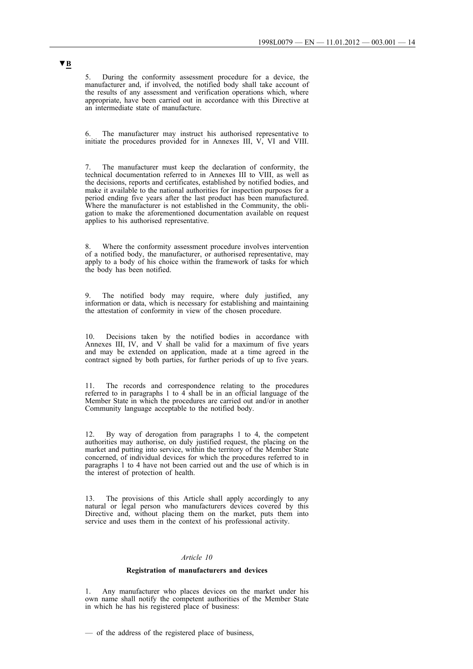5. During the conformity assessment procedure for a device, the manufacturer and, if involved, the notified body shall take account of the results of any assessment and verification operations which, where appropriate, have been carried out in accordance with this Directive at an intermediate state of manufacture.

6. The manufacturer may instruct his authorised representative to initiate the procedures provided for in Annexes III, V, VI and VIII.

7. The manufacturer must keep the declaration of conformity, the technical documentation referred to in Annexes III to VIII, as well as the decisions, reports and certificates, established by notified bodies, and make it available to the national authorities for inspection purposes for a period ending five years after the last product has been manufactured. Where the manufacturer is not established in the Community, the obligation to make the aforementioned documentation available on request applies to his authorised representative.

8. Where the conformity assessment procedure involves intervention of a notified body, the manufacturer, or authorised representative, may apply to a body of his choice within the framework of tasks for which the body has been notified.

9. The notified body may require, where duly justified, any information or data, which is necessary for establishing and maintaining the attestation of conformity in view of the chosen procedure.

10. Decisions taken by the notified bodies in accordance with Annexes III, IV, and V shall be valid for a maximum of five years and may be extended on application, made at a time agreed in the contract signed by both parties, for further periods of up to five years.

11. The records and correspondence relating to the procedures referred to in paragraphs 1 to 4 shall be in an official language of the Member State in which the procedures are carried out and/or in another Community language acceptable to the notified body.

12. By way of derogation from paragraphs 1 to 4, the competent authorities may authorise, on duly justified request, the placing on the market and putting into service, within the territory of the Member State concerned, of individual devices for which the procedures referred to in paragraphs 1 to 4 have not been carried out and the use of which is in the interest of protection of health.

13. The provisions of this Article shall apply accordingly to any natural or legal person who manufacturers devices covered by this Directive and, without placing them on the market, puts them into service and uses them in the context of his professional activity.

#### *Article 10*

#### **Registration of manufacturers and devices**

Any manufacturer who places devices on the market under his own name shall notify the competent authorities of the Member State in which he has his registered place of business:

### — of the address of the registered place of business,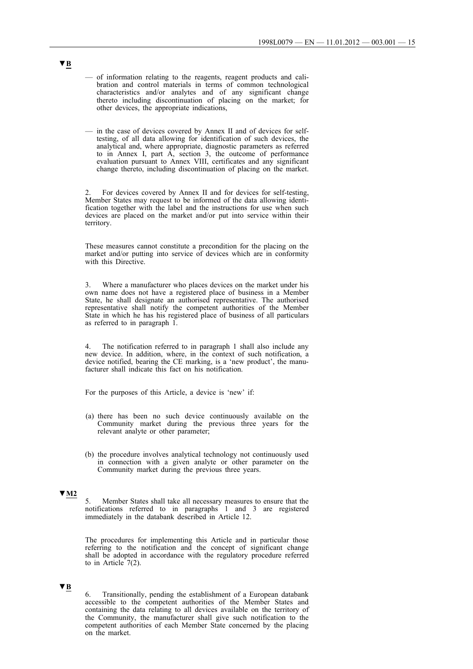- of information relating to the reagents, reagent products and calibration and control materials in terms of common technological characteristics and/or analytes and of any significant change thereto including discontinuation of placing on the market; for other devices, the appropriate indications,
- in the case of devices covered by Annex II and of devices for selftesting, of all data allowing for identification of such devices, the analytical and, where appropriate, diagnostic parameters as referred to in Annex I, part A, section 3, the outcome of performance evaluation pursuant to Annex VIII, certificates and any significant change thereto, including discontinuation of placing on the market.

For devices covered by Annex II and for devices for self-testing, Member States may request to be informed of the data allowing identification together with the label and the instructions for use when such devices are placed on the market and/or put into service within their territory.

These measures cannot constitute a precondition for the placing on the market and/or putting into service of devices which are in conformity with this Directive.

3. Where a manufacturer who places devices on the market under his own name does not have a registered place of business in a Member State, he shall designate an authorised representative. The authorised representative shall notify the competent authorities of the Member State in which he has his registered place of business of all particulars as referred to in paragraph 1.

4. The notification referred to in paragraph 1 shall also include any new device. In addition, where, in the context of such notification, a device notified, bearing the CE marking, is a 'new product', the manufacturer shall indicate this fact on his notification.

For the purposes of this Article, a device is 'new' if:

- (a) there has been no such device continuously available on the Community market during the previous three years for the relevant analyte or other parameter;
- (b) the procedure involves analytical technology not continuously used in connection with a given analyte or other parameter on the Community market during the previous three years.

# **▼M2**

5. Member States shall take all necessary measures to ensure that the notifications referred to in paragraphs 1 and 3 are registered immediately in the databank described in Article 12.

The procedures for implementing this Article and in particular those referring to the notification and the concept of significant change shall be adopted in accordance with the regulatory procedure referred to in Article  $7(2)$ .

## **▼B**

6. Transitionally, pending the establishment of a European databank accessible to the competent authorities of the Member States and containing the data relating to all devices available on the territory of the Community, the manufacturer shall give such notification to the competent authorities of each Member State concerned by the placing on the market.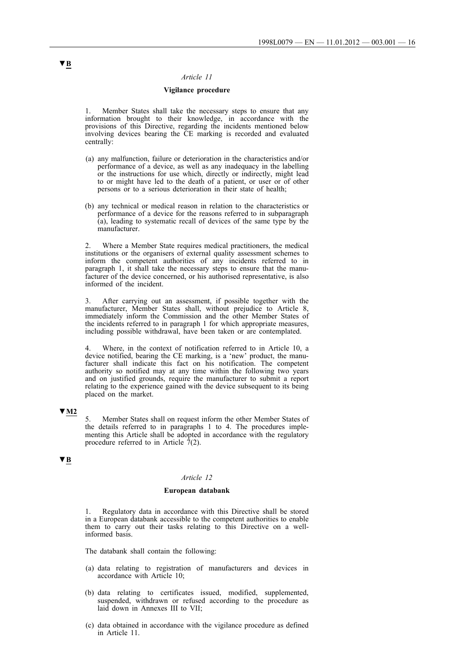## *Article 11*

### **Vigilance procedure**

1. Member States shall take the necessary steps to ensure that any information brought to their knowledge, in accordance with the provisions of this Directive, regarding the incidents mentioned below involving devices bearing the CE marking is recorded and evaluated centrally:

- (a) any malfunction, failure or deterioration in the characteristics and/or performance of a device, as well as any inadequacy in the labelling or the instructions for use which, directly or indirectly, might lead to or might have led to the death of a patient, or user or of other persons or to a serious deterioration in their state of health;
- (b) any technical or medical reason in relation to the characteristics or performance of a device for the reasons referred to in subparagraph (a), leading to systematic recall of devices of the same type by the manufacturer.

2. Where a Member State requires medical practitioners, the medical institutions or the organisers of external quality assessment schemes to inform the competent authorities of any incidents referred to in paragraph 1, it shall take the necessary steps to ensure that the manufacturer of the device concerned, or his authorised representative, is also informed of the incident.

After carrying out an assessment, if possible together with the manufacturer, Member States shall, without prejudice to Article 8, immediately inform the Commission and the other Member States of the incidents referred to in paragraph 1 for which appropriate measures, including possible withdrawal, have been taken or are contemplated.

4. Where, in the context of notification referred to in Article 10, a device notified, bearing the CE marking, is a 'new' product, the manufacturer shall indicate this fact on his notification. The competent authority so notified may at any time within the following two years and on justified grounds, require the manufacturer to submit a report relating to the experience gained with the device subsequent to its being placed on the market.

## **▼M2**

5. Member States shall on request inform the other Member States of the details referred to in paragraphs 1 to 4. The procedures implementing this Article shall be adopted in accordance with the regulatory procedure referred to in Article 7(2).

# **▼B**

### *Article 12*

### **European databank**

1. Regulatory data in accordance with this Directive shall be stored in a European databank accessible to the competent authorities to enable them to carry out their tasks relating to this Directive on a wellinformed basis.

The databank shall contain the following:

- (a) data relating to registration of manufacturers and devices in accordance with Article 10;
- (b) data relating to certificates issued, modified, supplemented, suspended, withdrawn or refused according to the procedure as laid down in Annexes III to VII;
- (c) data obtained in accordance with the vigilance procedure as defined in Article 11.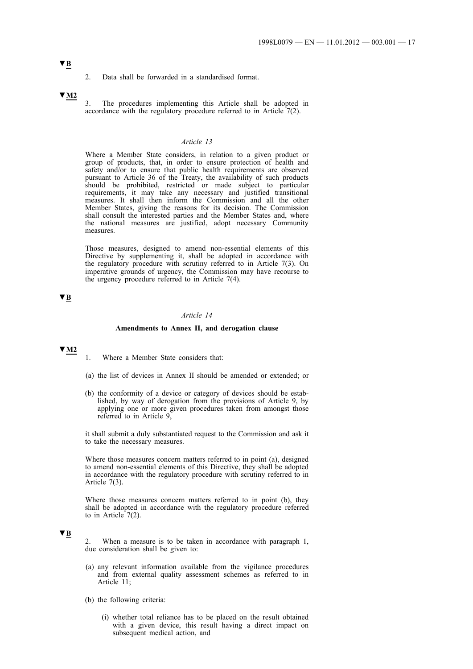2. Data shall be forwarded in a standardised format.

# **▼M2**

3. The procedures implementing this Article shall be adopted in accordance with the regulatory procedure referred to in Article 7(2).

## *Article 13*

Where a Member State considers, in relation to a given product or group of products, that, in order to ensure protection of health and safety and/or to ensure that public health requirements are observed pursuant to Article 36 of the Treaty, the availability of such products should be prohibited, restricted or made subject to particular requirements, it may take any necessary and justified transitional measures. It shall then inform the Commission and all the other Member States, giving the reasons for its decision. The Commission shall consult the interested parties and the Member States and, where the national measures are justified, adopt necessary Community measures.

Those measures, designed to amend non-essential elements of this Directive by supplementing it, shall be adopted in accordance with the regulatory procedure with scrutiny referred to in Article 7(3). On imperative grounds of urgency, the Commission may have recourse to the urgency procedure referred to in Article 7(4).

# **▼B**

#### *Article 14*

## **Amendments to Annex II, and derogation clause**

## **▼M2**

1. Where a Member State considers that:

- (a) the list of devices in Annex II should be amended or extended; or
- (b) the conformity of a device or category of devices should be established, by way of derogation from the provisions of Article 9, by applying one or more given procedures taken from amongst those referred to in Article 9,

it shall submit a duly substantiated request to the Commission and ask it to take the necessary measures.

Where those measures concern matters referred to in point (a), designed to amend non-essential elements of this Directive, they shall be adopted in accordance with the regulatory procedure with scrutiny referred to in Article 7(3).

Where those measures concern matters referred to in point (b), they shall be adopted in accordance with the regulatory procedure referred to in Article 7(2).

# **▼B**

- 2. When a measure is to be taken in accordance with paragraph 1, due consideration shall be given to:
- (a) any relevant information available from the vigilance procedures and from external quality assessment schemes as referred to in Article 11;
- (b) the following criteria:
	- (i) whether total reliance has to be placed on the result obtained with a given device, this result having a direct impact on subsequent medical action, and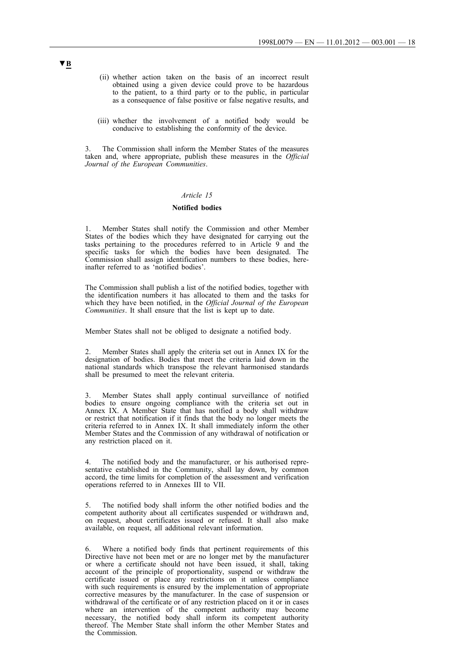- (ii) whether action taken on the basis of an incorrect result obtained using a given device could prove to be hazardous to the patient, to a third party or to the public, in particular as a consequence of false positive or false negative results, and
- (iii) whether the involvement of a notified body would be conducive to establishing the conformity of the device.

The Commission shall inform the Member States of the measures taken and, where appropriate, publish these measures in the *Official Journal of the European Communities*.

## *Article 15*

### **Notified bodies**

1. Member States shall notify the Commission and other Member States of the bodies which they have designated for carrying out the tasks pertaining to the procedures referred to in Article 9 and the specific tasks for which the bodies have been designated. The Commission shall assign identification numbers to these bodies, hereinafter referred to as 'notified bodies'.

The Commission shall publish a list of the notified bodies, together with the identification numbers it has allocated to them and the tasks for which they have been notified, in the *Official Journal of the European Communities*. It shall ensure that the list is kept up to date.

Member States shall not be obliged to designate a notified body.

2. Member States shall apply the criteria set out in Annex IX for the designation of bodies. Bodies that meet the criteria laid down in the national standards which transpose the relevant harmonised standards shall be presumed to meet the relevant criteria.

3. Member States shall apply continual surveillance of notified bodies to ensure ongoing compliance with the criteria set out in Annex IX. A Member State that has notified a body shall withdraw or restrict that notification if it finds that the body no longer meets the criteria referred to in Annex IX. It shall immediately inform the other Member States and the Commission of any withdrawal of notification or any restriction placed on it.

4. The notified body and the manufacturer, or his authorised representative established in the Community, shall lay down, by common accord, the time limits for completion of the assessment and verification operations referred to in Annexes III to VII.

5. The notified body shall inform the other notified bodies and the competent authority about all certificates suspended or withdrawn and, on request, about certificates issued or refused. It shall also make available, on request, all additional relevant information.

Where a notified body finds that pertinent requirements of this Directive have not been met or are no longer met by the manufacturer or where a certificate should not have been issued, it shall, taking account of the principle of proportionality, suspend or withdraw the certificate issued or place any restrictions on it unless compliance with such requirements is ensured by the implementation of appropriate corrective measures by the manufacturer. In the case of suspension or withdrawal of the certificate or of any restriction placed on it or in cases where an intervention of the competent authority may become necessary, the notified body shall inform its competent authority thereof. The Member State shall inform the other Member States and the Commission.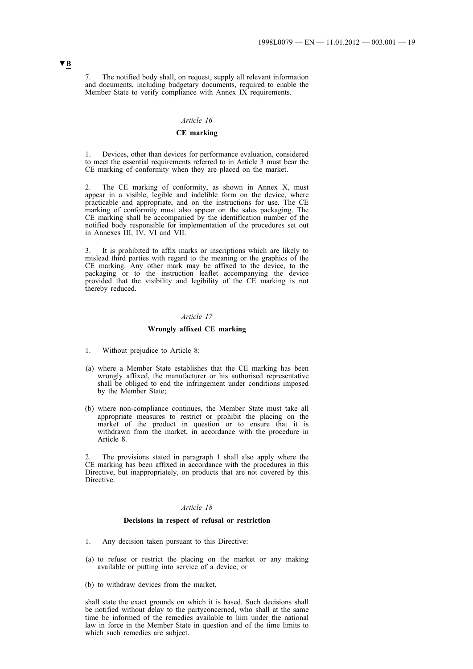7. The notified body shall, on request, supply all relevant information and documents, including budgetary documents, required to enable the Member State to verify compliance with Annex IX requirements.

### *Article 16*

### **CE marking**

1. Devices, other than devices for performance evaluation, considered to meet the essential requirements referred to in Article 3 must bear the CE marking of conformity when they are placed on the market.

The CE marking of conformity, as shown in Annex X, must appear in a visible, legible and indelible form on the device, where practicable and appropriate, and on the instructions for use. The CE marking of conformity must also appear on the sales packaging. The CE marking shall be accompanied by the identification number of the notified body responsible for implementation of the procedures set out in Annexes III, IV, VI and VII.

3. It is prohibited to affix marks or inscriptions which are likely to mislead third parties with regard to the meaning or the graphics of the CE marking. Any other mark may be affixed to the device, to the packaging or to the instruction leaflet accompanying the device provided that the visibility and legibility of the CE marking is not thereby reduced.

## *Article 17*

### **Wrongly affixed CE marking**

- 1. Without prejudice to Article 8:
- (a) where a Member State establishes that the CE marking has been wrongly affixed, the manufacturer or his authorised representative shall be obliged to end the infringement under conditions imposed by the Member State;
- (b) where non-compliance continues, the Member State must take all appropriate measures to restrict or prohibit the placing on the market of the product in question or to ensure that it is withdrawn from the market, in accordance with the procedure in Article 8.

2. The provisions stated in paragraph 1 shall also apply where the CE marking has been affixed in accordance with the procedures in this Directive, but inappropriately, on products that are not covered by this Directive.

## *Article 18*

#### **Decisions in respect of refusal or restriction**

- 1. Any decision taken pursuant to this Directive:
- (a) to refuse or restrict the placing on the market or any making available or putting into service of a device, or
- (b) to withdraw devices from the market,

shall state the exact grounds on which it is based. Such decisions shall be notified without delay to the partyconcerned, who shall at the same time be informed of the remedies available to him under the national law in force in the Member State in question and of the time limits to which such remedies are subject.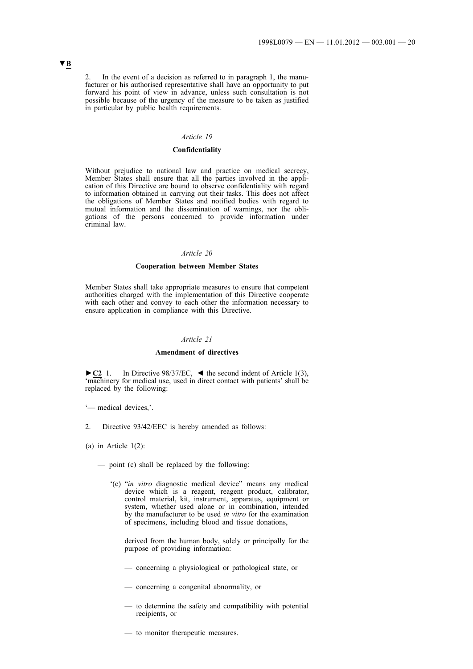2. In the event of a decision as referred to in paragraph 1, the manufacturer or his authorised representative shall have an opportunity to put forward his point of view in advance, unless such consultation is not possible because of the urgency of the measure to be taken as justified in particular by public health requirements.

## *Article 19*

### **Confidentiality**

Without prejudice to national law and practice on medical secrecy, Member States shall ensure that all the parties involved in the application of this Directive are bound to observe confidentiality with regard to information obtained in carrying out their tasks. This does not affect the obligations of Member States and notified bodies with regard to mutual information and the dissemination of warnings, nor the obligations of the persons concerned to provide information under criminal law.

## *Article 20*

### **Cooperation between Member States**

Member States shall take appropriate measures to ensure that competent authorities charged with the implementation of this Directive cooperate with each other and convey to each other the information necessary to ensure application in compliance with this Directive.

### *Article 21*

### **Amendment of directives**

**►C2** 1. In Directive 98/37/EC, ◄ the second indent of Article 1(3), 'machinery for medical use, used in direct contact with patients' shall be replaced by the following:

'— medical devices,'.

- 2. Directive 93/42/EEC is hereby amended as follows:
- (a) in Article 1(2):
	- point (c) shall be replaced by the following:
		- '(c) "*in vitro* diagnostic medical device" means any medical device which is a reagent, reagent product, calibrator, control material, kit, instrument, apparatus, equipment or system, whether used alone or in combination, intended by the manufacturer to be used *in vitro* for the examination of specimens, including blood and tissue donations,

derived from the human body, solely or principally for the purpose of providing information:

- concerning a physiological or pathological state, or
- concerning a congenital abnormality, or
- to determine the safety and compatibility with potential recipients, or
- to monitor therapeutic measures.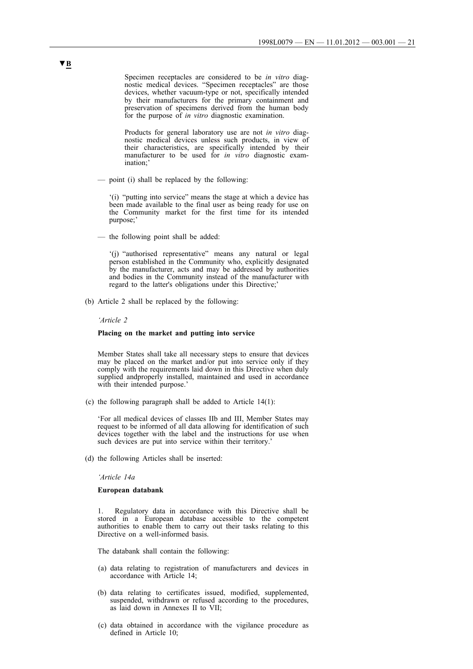Specimen receptacles are considered to be *in vitro* diagnostic medical devices. "Specimen receptacles" are those devices, whether vacuum-type or not, specifically intended by their manufacturers for the primary containment and preservation of specimens derived from the human body for the purpose of *in vitro* diagnostic examination.

Products for general laboratory use are not *in vitro* diagnostic medical devices unless such products, in view of their characteristics, are specifically intended by their manufacturer to be used for *in vitro* diagnostic examination;'

— point (i) shall be replaced by the following:

'(i) "putting into service" means the stage at which a device has been made available to the final user as being ready for use on the Community market for the first time for its intended purpose;'

— the following point shall be added:

'(j) "authorised representative" means any natural or legal person established in the Community who, explicitly designated by the manufacturer, acts and may be addressed by authorities and bodies in the Community instead of the manufacturer with regard to the latter's obligations under this Directive;'

(b) Article 2 shall be replaced by the following:

#### *'Article 2*

#### **Placing on the market and putting into service**

Member States shall take all necessary steps to ensure that devices may be placed on the market and/or put into service only if they comply with the requirements laid down in this Directive when duly supplied and properly installed, maintained and used in accordance with their intended purpose.

(c) the following paragraph shall be added to Article 14(1):

'For all medical devices of classes IIb and III, Member States may request to be informed of all data allowing for identification of such devices together with the label and the instructions for use when such devices are put into service within their territory.

(d) the following Articles shall be inserted:

### *'Article 14a*

### **European databank**

Regulatory data in accordance with this Directive shall be stored in a European database accessible to the competent authorities to enable them to carry out their tasks relating to this Directive on a well-informed basis.

The databank shall contain the following:

- (a) data relating to registration of manufacturers and devices in accordance with Article 14;
- (b) data relating to certificates issued, modified, supplemented, suspended, withdrawn or refused according to the procedures, as laid down in Annexes II to VII;
- (c) data obtained in accordance with the vigilance procedure as defined in Article 10;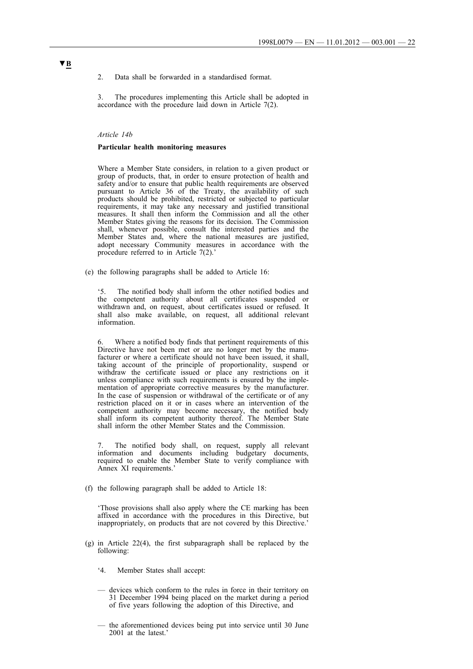2. Data shall be forwarded in a standardised format.

3. The procedures implementing this Article shall be adopted in accordance with the procedure laid down in Article 7(2).

## *Article 14b*

#### **Particular health monitoring measures**

Where a Member State considers, in relation to a given product or group of products, that, in order to ensure protection of health and safety and/or to ensure that public health requirements are observed pursuant to Article 36 of the Treaty, the availability of such products should be prohibited, restricted or subjected to particular requirements, it may take any necessary and justified transitional measures. It shall then inform the Commission and all the other Member States giving the reasons for its decision. The Commission shall, whenever possible, consult the interested parties and the Member States and, where the national measures are justified, adopt necessary Community measures in accordance with the procedure referred to in Article 7(2).'

(e) the following paragraphs shall be added to Article 16:

'5. The notified body shall inform the other notified bodies and the competent authority about all certificates suspended or withdrawn and, on request, about certificates issued or refused. It shall also make available, on request, all additional relevant information.

6. Where a notified body finds that pertinent requirements of this Directive have not been met or are no longer met by the manufacturer or where a certificate should not have been issued, it shall, taking account of the principle of proportionality, suspend or withdraw the certificate issued or place any restrictions on it unless compliance with such requirements is ensured by the implementation of appropriate corrective measures by the manufacturer. In the case of suspension or withdrawal of the certificate or of any restriction placed on it or in cases where an intervention of the competent authority may become necessary, the notified body shall inform its competent authority thereof. The Member State shall inform the other Member States and the Commission.

The notified body shall, on request, supply all relevant information and documents including budgetary documents, required to enable the Member State to verify compliance with Annex XI requirements.'

(f) the following paragraph shall be added to Article 18:

'Those provisions shall also apply where the CE marking has been affixed in accordance with the procedures in this Directive, but inappropriately, on products that are not covered by this Directive.'

- (g) in Article 22(4), the first subparagraph shall be replaced by the following:
	- '4. Member States shall accept:
	- devices which conform to the rules in force in their territory on 31 December 1994 being placed on the market during a period of five years following the adoption of this Directive, and
	- the aforementioned devices being put into service until 30 June 2001 at the latest.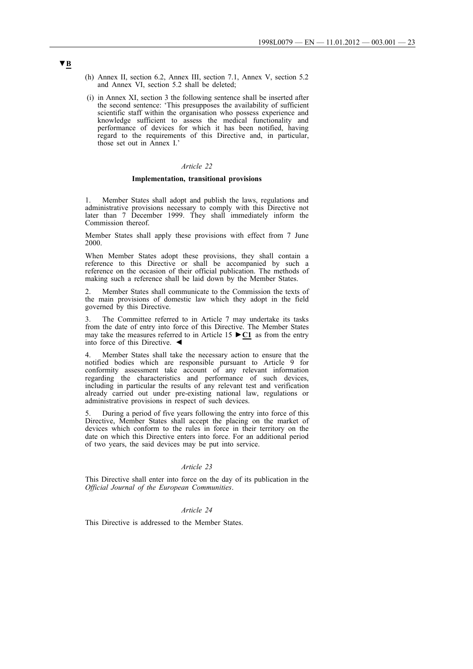- (h) Annex II, section 6.2, Annex III, section 7.1, Annex V, section 5.2 and Annex VI, section 5.2 shall be deleted;
- (i) in Annex XI, section 3 the following sentence shall be inserted after the second sentence: 'This presupposes the availability of sufficient scientific staff within the organisation who possess experience and knowledge sufficient to assess the medical functionality and performance of devices for which it has been notified, having regard to the requirements of this Directive and, in particular, those set out in Annex I.'

### *Article 22*

### **Implementation, transitional provisions**

Member States shall adopt and publish the laws, regulations and administrative provisions necessary to comply with this Directive not later than 7 December 1999. They shall immediately inform the Commission thereof.

Member States shall apply these provisions with effect from 7 June 2000.

When Member States adopt these provisions, they shall contain a reference to this Directive or shall be accompanied by such a reference on the occasion of their official publication. The methods of making such a reference shall be laid down by the Member States.

2. Member States shall communicate to the Commission the texts of the main provisions of domestic law which they adopt in the field governed by this Directive.

3. The Committee referred to in Article 7 may undertake its tasks from the date of entry into force of this Directive. The Member States may take the measures referred to in Article 15 **►C1** as from the entry into force of this Directive. ◄

4. Member States shall take the necessary action to ensure that the notified bodies which are responsible pursuant to Article 9 for conformity assessment take account of any relevant information regarding the characteristics and performance of such devices, including in particular the results of any relevant test and verification already carried out under pre-existing national law, regulations or administrative provisions in respect of such devices.

5. During a period of five years following the entry into force of this Directive, Member States shall accept the placing on the market of devices which conform to the rules in force in their territory on the date on which this Directive enters into force. For an additional period of two years, the said devices may be put into service.

### *Article 23*

This Directive shall enter into force on the day of its publication in the *Official Journal of the European Communities*.

## *Article 24*

This Directive is addressed to the Member States.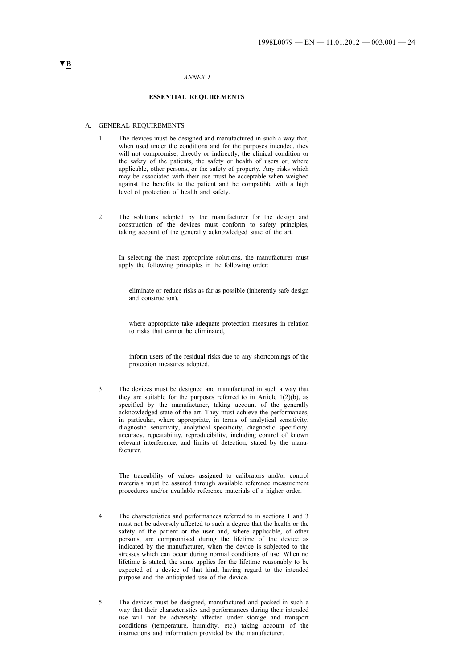#### *ANNEX I*

#### **ESSENTIAL REQUIREMENTS**

### A. GENERAL REQUIREMENTS

- 1. The devices must be designed and manufactured in such a way that, when used under the conditions and for the purposes intended, they will not compromise, directly or indirectly, the clinical condition or the safety of the patients, the safety or health of users or, where applicable, other persons, or the safety of property. Any risks which may be associated with their use must be acceptable when weighed against the benefits to the patient and be compatible with a high level of protection of health and safety.
- 2. The solutions adopted by the manufacturer for the design and construction of the devices must conform to safety principles, taking account of the generally acknowledged state of the art.

In selecting the most appropriate solutions, the manufacturer must apply the following principles in the following order:

- eliminate or reduce risks as far as possible (inherently safe design and construction),
- where appropriate take adequate protection measures in relation to risks that cannot be eliminated,
- inform users of the residual risks due to any shortcomings of the protection measures adopted.
- 3. The devices must be designed and manufactured in such a way that they are suitable for the purposes referred to in Article  $1(2)(b)$ , as specified by the manufacturer, taking account of the generally acknowledged state of the art. They must achieve the performances, in particular, where appropriate, in terms of analytical sensitivity, diagnostic sensitivity, analytical specificity, diagnostic specificity, accuracy, repeatability, reproducibility, including control of known relevant interference, and limits of detection, stated by the manufacturer.

The traceability of values assigned to calibrators and/or control materials must be assured through available reference measurement procedures and/or available reference materials of a higher order.

- 4. The characteristics and performances referred to in sections 1 and 3 must not be adversely affected to such a degree that the health or the safety of the patient or the user and, where applicable, of other persons, are compromised during the lifetime of the device as indicated by the manufacturer, when the device is subjected to the stresses which can occur during normal conditions of use. When no lifetime is stated, the same applies for the lifetime reasonably to be expected of a device of that kind, having regard to the intended purpose and the anticipated use of the device.
- 5. The devices must be designed, manufactured and packed in such a way that their characteristics and performances during their intended use will not be adversely affected under storage and transport conditions (temperature, humidity, etc.) taking account of the instructions and information provided by the manufacturer.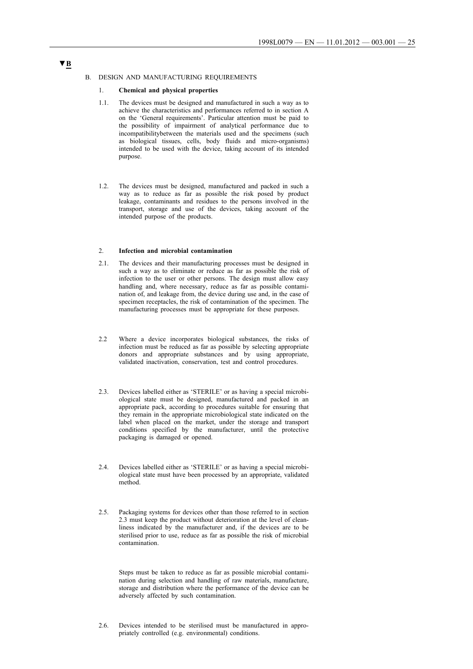#### B. DESIGN AND MANUFACTURING REQUIREMENTS

#### 1. **Chemical and physical properties**

- 1.1. The devices must be designed and manufactured in such a way as to achieve the characteristics and performances referred to in section A on the 'General requirements'. Particular attention must be paid to the possibility of impairment of analytical performance due to incompatibilitybetween the materials used and the specimens (such as biological tissues, cells, body fluids and micro-organisms) intended to be used with the device, taking account of its intended purpose.
- 1.2. The devices must be designed, manufactured and packed in such a way as to reduce as far as possible the risk posed by product leakage, contaminants and residues to the persons involved in the transport, storage and use of the devices, taking account of the intended purpose of the products.

### 2. **Infection and microbial contamination**

- 2.1. The devices and their manufacturing processes must be designed in such a way as to eliminate or reduce as far as possible the risk of infection to the user or other persons. The design must allow easy handling and, where necessary, reduce as far as possible contamination of, and leakage from, the device during use and, in the case of specimen receptacles, the risk of contamination of the specimen. The manufacturing processes must be appropriate for these purposes.
- 2.2 Where a device incorporates biological substances, the risks of infection must be reduced as far as possible by selecting appropriate donors and appropriate substances and by using appropriate, validated inactivation, conservation, test and control procedures.
- 2.3. Devices labelled either as 'STERILE' or as having a special microbiological state must be designed, manufactured and packed in an appropriate pack, according to procedures suitable for ensuring that they remain in the appropriate microbiological state indicated on the label when placed on the market, under the storage and transport conditions specified by the manufacturer, until the protective packaging is damaged or opened.
- 2.4. Devices labelled either as 'STERILE' or as having a special microbiological state must have been processed by an appropriate, validated method.
- 2.5. Packaging systems for devices other than those referred to in section 2.3 must keep the product without deterioration at the level of cleanliness indicated by the manufacturer and, if the devices are to be sterilised prior to use, reduce as far as possible the risk of microbial contamination.

Steps must be taken to reduce as far as possible microbial contamination during selection and handling of raw materials, manufacture, storage and distribution where the performance of the device can be adversely affected by such contamination.

2.6. Devices intended to be sterilised must be manufactured in appropriately controlled (e.g. environmental) conditions.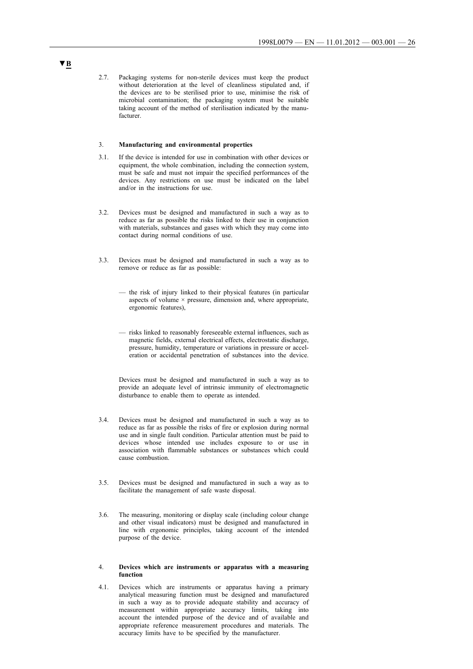2.7. Packaging systems for non-sterile devices must keep the product without deterioration at the level of cleanliness stipulated and, if the devices are to be sterilised prior to use, minimise the risk of microbial contamination; the packaging system must be suitable taking account of the method of sterilisation indicated by the manufacturer.

### 3. **Manufacturing and environmental properties**

- 3.1. If the device is intended for use in combination with other devices or equipment, the whole combination, including the connection system, must be safe and must not impair the specified performances of the devices. Any restrictions on use must be indicated on the label and/or in the instructions for use.
- 3.2. Devices must be designed and manufactured in such a way as to reduce as far as possible the risks linked to their use in conjunction with materials, substances and gases with which they may come into contact during normal conditions of use.
- 3.3. Devices must be designed and manufactured in such a way as to remove or reduce as far as possible:
	- the risk of injury linked to their physical features (in particular aspects of volume  $\times$  pressure, dimension and, where appropriate, ergonomic features),
	- risks linked to reasonably foreseeable external influences, such as magnetic fields, external electrical effects, electrostatic discharge, pressure, humidity, temperature or variations in pressure or acceleration or accidental penetration of substances into the device.

Devices must be designed and manufactured in such a way as to provide an adequate level of intrinsic immunity of electromagnetic disturbance to enable them to operate as intended.

- 3.4. Devices must be designed and manufactured in such a way as to reduce as far as possible the risks of fire or explosion during normal use and in single fault condition. Particular attention must be paid to devices whose intended use includes exposure to or use in association with flammable substances or substances which could cause combustion.
- 3.5. Devices must be designed and manufactured in such a way as to facilitate the management of safe waste disposal.
- 3.6. The measuring, monitoring or display scale (including colour change and other visual indicators) must be designed and manufactured in line with ergonomic principles, taking account of the intended purpose of the device.

#### 4. **Devices which are instruments or apparatus with a measuring function**

4.1. Devices which are instruments or apparatus having a primary analytical measuring function must be designed and manufactured in such a way as to provide adequate stability and accuracy of measurement within appropriate accuracy limits, taking into account the intended purpose of the device and of available and appropriate reference measurement procedures and materials. The accuracy limits have to be specified by the manufacturer.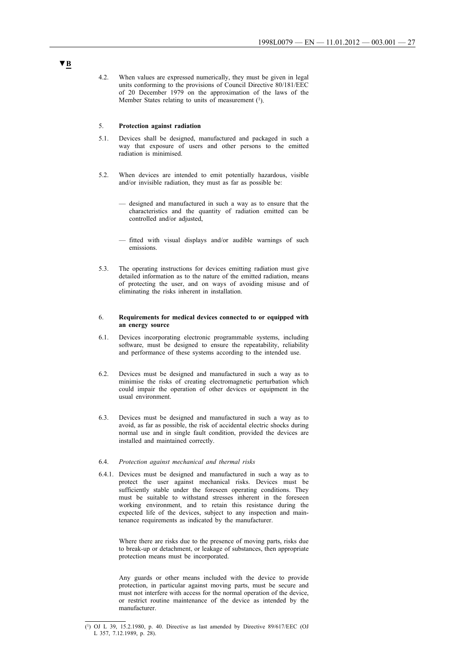4.2. When values are expressed numerically, they must be given in legal units conforming to the provisions of Council Directive 80/181/EEC of 20 December 1979 on the approximation of the laws of the Member States relating to units of measurement (1).

### 5. **Protection against radiation**

- 5.1. Devices shall be designed, manufactured and packaged in such a way that exposure of users and other persons to the emitted radiation is minimised.
- 5.2. When devices are intended to emit potentially hazardous, visible and/or invisible radiation, they must as far as possible be:
	- designed and manufactured in such a way as to ensure that the characteristics and the quantity of radiation emitted can be controlled and/or adjusted,
	- fitted with visual displays and/or audible warnings of such emissions.
- 5.3. The operating instructions for devices emitting radiation must give detailed information as to the nature of the emitted radiation, means of protecting the user, and on ways of avoiding misuse and of eliminating the risks inherent in installation.

#### 6. **Requirements for medical devices connected to or equipped with an energy source**

- 6.1. Devices incorporating electronic programmable systems, including software, must be designed to ensure the repeatability, reliability and performance of these systems according to the intended use.
- 6.2. Devices must be designed and manufactured in such a way as to minimise the risks of creating electromagnetic perturbation which could impair the operation of other devices or equipment in the usual environment.
- 6.3. Devices must be designed and manufactured in such a way as to avoid, as far as possible, the risk of accidental electric shocks during normal use and in single fault condition, provided the devices are installed and maintained correctly.

#### 6.4. *Protection against mechanical and thermal risks*

6.4.1. Devices must be designed and manufactured in such a way as to protect the user against mechanical risks. Devices must be sufficiently stable under the foreseen operating conditions. They must be suitable to withstand stresses inherent in the foreseen working environment, and to retain this resistance during the expected life of the devices, subject to any inspection and maintenance requirements as indicated by the manufacturer.

Where there are risks due to the presence of moving parts, risks due to break-up or detachment, or leakage of substances, then appropriate protection means must be incorporated.

Any guards or other means included with the device to provide protection, in particular against moving parts, must be secure and must not interfere with access for the normal operation of the device, or restrict routine maintenance of the device as intended by the manufacturer.

<sup>(1)</sup> OJ L 39, 15.2.1980, p. 40. Directive as last amended by Directive 89/617/EEC (OJ L 357, 7.12.1989, p. 28).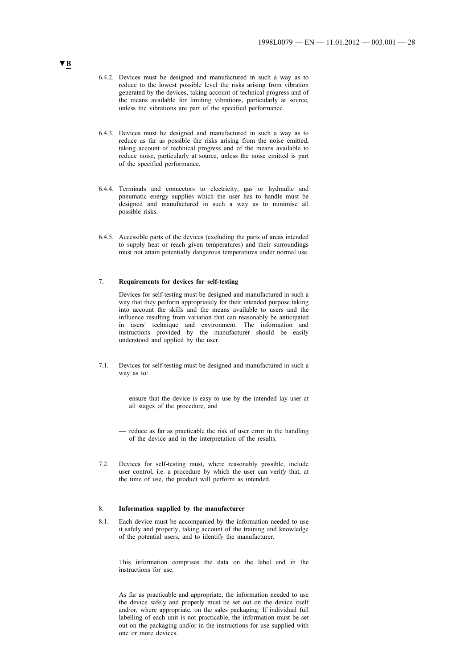- 6.4.2. Devices must be designed and manufactured in such a way as to reduce to the lowest possible level the risks arising from vibration generated by the devices, taking account of technical progress and of the means available for limiting vibrations, particularly at source, unless the vibrations are part of the specified performance.
- 6.4.3. Devices must be designed and manufactured in such a way as to reduce as far as possible the risks arising from the noise emitted, taking account of technical progress and of the means available to reduce noise, particularly at source, unless the noise emitted is part of the specified performance.
- 6.4.4. Terminals and connectors to electricity, gas or hydraulic and pneumatic energy supplies which the user has to handle must be designed and manufactured in such a way as to minimise all possible risks.
- 6.4.5. Accessible parts of the devices (excluding the parts of areas intended to supply heat or reach given temperatures) and their surroundings must not attain potentially dangerous temperatures under normal use.

### 7. **Requirements for devices for self-testing**

Devices for self-testing must be designed and manufactured in such a way that they perform appropriately for their intended purpose taking into account the skills and the means available to users and the influence resulting from variation that can reasonably be anticipated in users' technique and environment. The information and instructions provided by the manufacturer should be easily understood and applied by the user.

- 7.1. Devices for self-testing must be designed and manufactured in such a way as to:
	- ensure that the device is easy to use by the intended lay user at all stages of the procedure, and
	- reduce as far as practicable the risk of user error in the handling of the device and in the interpretation of the results.
- 7.2. Devices for self-testing must, where reasonably possible, include user control, i.e. a procedure by which the user can verify that, at the time of use, the product will perform as intended.

### 8. **Information supplied by the manufacturer**

8.1. Each device must be accompanied by the information needed to use it safely and properly, taking account of the training and knowledge of the potential users, and to identify the manufacturer.

This information comprises the data on the label and in the instructions for use.

As far as practicable and appropriate, the information needed to use the device safely and properly must be set out on the device itself and/or, where appropriate, on the sales packaging. If individual full labelling of each unit is not practicable, the information must be set out on the packaging and/or in the instructions for use supplied with one or more devices.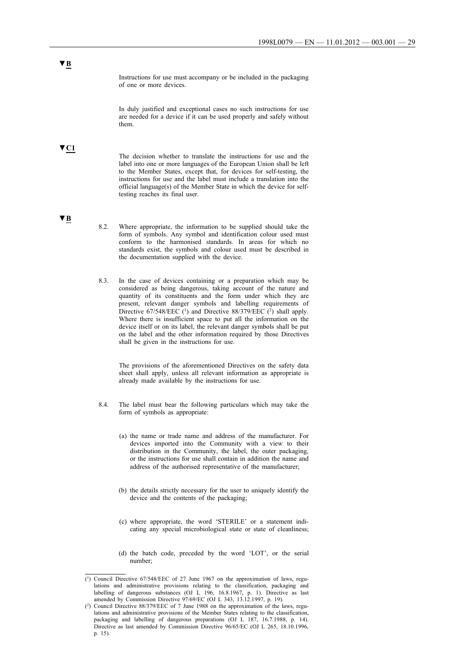Instructions for use must accompany or be included in the packaging of one or more devices.

In duly justified and exceptional cases no such instructions for use are needed for a device if it can be used properly and safely without them.

# **▼C1**

The decision whether to translate the instructions for use and the label into one or more languages of the European Union shall be left to the Member States, except that, for devices for self-testing, the instructions for use and the label must include a translation into the official language(s) of the Member State in which the device for selftesting reaches its final user.

# **▼B**

- 8.2. Where appropriate, the information to be supplied should take the form of symbols. Any symbol and identification colour used must conform to the harmonised standards. In areas for which no standards exist, the symbols and colour used must be described in the documentation supplied with the device.
- 8.3. In the case of devices containing or a preparation which may be considered as being dangerous, taking account of the nature and quantity of its constituents and the form under which they are present, relevant danger symbols and labelling requirements of Directive  $67/548/EEC$ <sup>(1)</sup> and Directive  $88/379/EEC$ <sup>(2)</sup> shall apply. Where there is insufficient space to put all the information on the device itself or on its label, the relevant danger symbols shall be put on the label and the other information required by those Directives shall be given in the instructions for use.

The provisions of the aforementioned Directives on the safety data sheet shall apply, unless all relevant information as appropriate is already made available by the instructions for use.

- 8.4. The label must bear the following particulars which may take the form of symbols as appropriate:
	- (a) the name or trade name and address of the manufacturer. For devices imported into the Community with a view to their distribution in the Community, the label, the outer packaging, or the instructions for use shall contain in addition the name and address of the authorised representative of the manufacturer;
	- (b) the details strictly necessary for the user to uniquely identify the device and the contents of the packaging;
	- (c) where appropriate, the word 'STERILE' or a statement indicating any special microbiological state or state of cleanliness;
	- (d) the batch code, preceded by the word 'LOT', or the serial number;

<sup>(1)</sup> Council Directive 67/548/EEC of 27 June 1967 on the approximation of laws, regulations and administrative provisions relating to the classification, packaging and labelling of dangerous substances (OJ L 196, 16.8.1967, p. 1). Directive as last amended by Commission Directive 97/69/EC (OJ L 343, 13.12.1997, p. 19).

<sup>(2)</sup> Council Directive 88/379/EEC of 7 June 1988 on the approximation of the laws, regulations and administrative provisions of the Member States relating to the classification, packaging and labelling of dangerous preparations (OJ L 187, 16.7.1988, p. 14). Directive as last amended by Commission Directive 96/65/EC (OJ L 265, 18.10.1996, p. 15).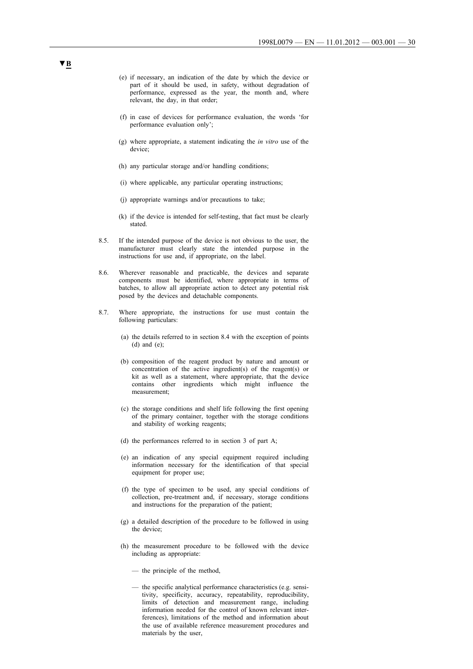- (e) if necessary, an indication of the date by which the device or part of it should be used, in safety, without degradation of performance, expressed as the year, the month and, where relevant, the day, in that order;
- (f) in case of devices for performance evaluation, the words 'for performance evaluation only';
- (g) where appropriate, a statement indicating the *in vitro* use of the device;
- (h) any particular storage and/or handling conditions;
- (i) where applicable, any particular operating instructions;
- (j) appropriate warnings and/or precautions to take;
- (k) if the device is intended for self-testing, that fact must be clearly stated.
- 8.5. If the intended purpose of the device is not obvious to the user, the manufacturer must clearly state the intended purpose in the instructions for use and, if appropriate, on the label.
- 8.6. Wherever reasonable and practicable, the devices and separate components must be identified, where appropriate in terms of batches, to allow all appropriate action to detect any potential risk posed by the devices and detachable components.
- 8.7. Where appropriate, the instructions for use must contain the following particulars:
	- (a) the details referred to in section 8.4 with the exception of points (d) and (e);
	- (b) composition of the reagent product by nature and amount or concentration of the active ingredient(s) of the reagent(s) or kit as well as a statement, where appropriate, that the device contains other ingredients which might influence the measurement;
	- (c) the storage conditions and shelf life following the first opening of the primary container, together with the storage conditions and stability of working reagents;
	- (d) the performances referred to in section 3 of part A;
	- (e) an indication of any special equipment required including information necessary for the identification of that special equipment for proper use;
	- (f) the type of specimen to be used, any special conditions of collection, pre-treatment and, if necessary, storage conditions and instructions for the preparation of the patient;
	- (g) a detailed description of the procedure to be followed in using the device;
	- (h) the measurement procedure to be followed with the device including as appropriate:
		- the principle of the method,
		- the specific analytical performance characteristics (e.g. sensitivity, specificity, accuracy, repeatability, reproducibility, limits of detection and measurement range, including information needed for the control of known relevant interferences), limitations of the method and information about the use of available reference measurement procedures and materials by the user,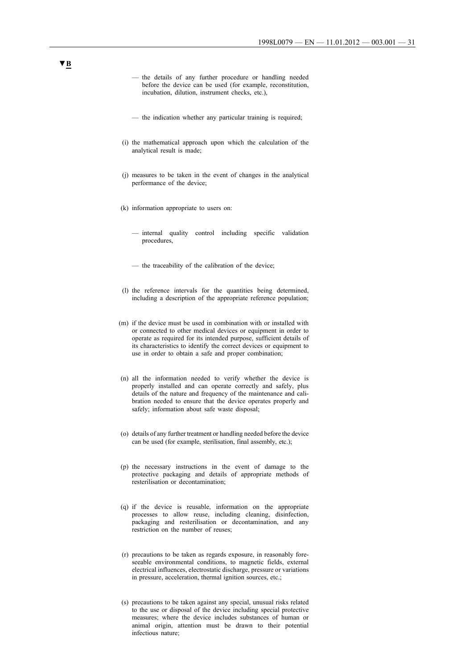- the details of any further procedure or handling needed before the device can be used (for example, reconstitution, incubation, dilution, instrument checks, etc.),
- the indication whether any particular training is required;
- (i) the mathematical approach upon which the calculation of the analytical result is made;
- (j) measures to be taken in the event of changes in the analytical performance of the device;
- (k) information appropriate to users on:
	- internal quality control including specific validation procedures,
	- the traceability of the calibration of the device;
- (l) the reference intervals for the quantities being determined, including a description of the appropriate reference population;
- (m) if the device must be used in combination with or installed with or connected to other medical devices or equipment in order to operate as required for its intended purpose, sufficient details of its characteristics to identify the correct devices or equipment to use in order to obtain a safe and proper combination;
- (n) all the information needed to verify whether the device is properly installed and can operate correctly and safely, plus details of the nature and frequency of the maintenance and calibration needed to ensure that the device operates properly and safely; information about safe waste disposal;
- (o) details of any further treatment or handling needed before the device can be used (for example, sterilisation, final assembly, etc.);
- (p) the necessary instructions in the event of damage to the protective packaging and details of appropriate methods of resterilisation or decontamination;
- (q) if the device is reusable, information on the appropriate processes to allow reuse, including cleaning, disinfection, packaging and resterilisation or decontamination, and any restriction on the number of reuses;
- (r) precautions to be taken as regards exposure, in reasonably foreseeable environmental conditions, to magnetic fields, external electrical influences, electrostatic discharge, pressure or variations in pressure, acceleration, thermal ignition sources, etc.;
- (s) precautions to be taken against any special, unusual risks related to the use or disposal of the device including special protective measures; where the device includes substances of human or animal origin, attention must be drawn to their potential infectious nature;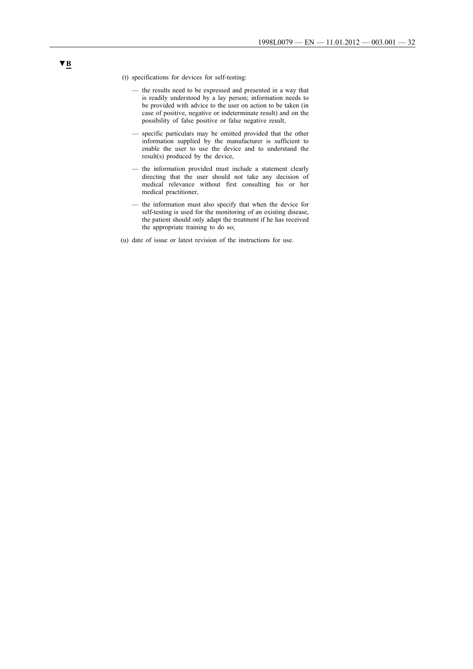(t) specifications for devices for self-testing:

- the results need to be expressed and presented in a way that is readily understood by a lay person; information needs to be provided with advice to the user on action to be taken (in case of positive, negative or indeterminate result) and on the possibility of false positive or false negative result,
- specific particulars may be omitted provided that the other information supplied by the manufacturer is sufficient to enable the user to use the device and to understand the result(s) produced by the device,
- the information provided must include a statement clearly directing that the user should not take any decision of medical relevance without first consulting his or her medical practitioner,
- the information must also specify that when the device for self-testing is used for the monitoring of an existing disease, the patient should only adapt the treatment if he has received the appropriate training to do so;
- (u) date of issue or latest revision of the instructions for use.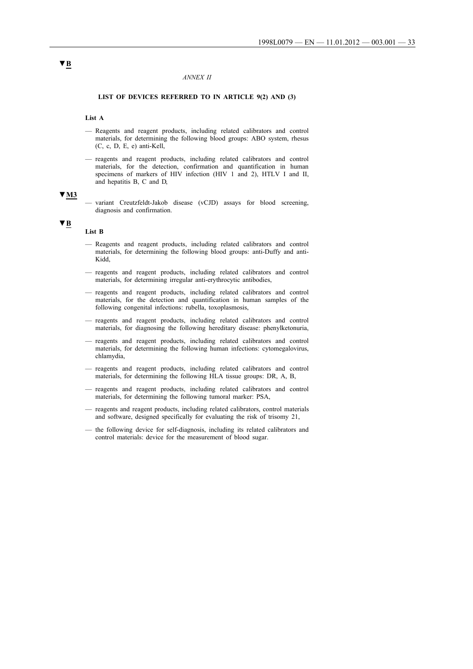### *ANNEX II*

### **LIST OF DEVICES REFERRED TO IN ARTICLE 9(2) AND (3)**

## **List A**

- Reagents and reagent products, including related calibrators and control materials, for determining the following blood groups: ABO system, rhesus (C, c, D, E, e) anti-Kell,
- reagents and reagent products, including related calibrators and control materials, for the detection, confirmation and quantification in human specimens of markers of HIV infection (HIV 1 and 2), HTLV I and II, and hepatitis B, C and D,

## **▼M3**

— variant Creutzfeldt-Jakob disease (vCJD) assays for blood screening, diagnosis and confirmation.

#### **▼B List B**

- Reagents and reagent products, including related calibrators and control materials, for determining the following blood groups: anti-Duffy and anti-Kidd,
- reagents and reagent products, including related calibrators and control materials, for determining irregular anti-erythrocytic antibodies,
- reagents and reagent products, including related calibrators and control materials, for the detection and quantification in human samples of the following congenital infections: rubella, toxoplasmosis,
- reagents and reagent products, including related calibrators and control materials, for diagnosing the following hereditary disease: phenylketonuria,
- reagents and reagent products, including related calibrators and control materials, for determining the following human infections: cytomegalovirus, chlamydia,
- reagents and reagent products, including related calibrators and control materials, for determining the following HLA tissue groups: DR, A, B,
- reagents and reagent products, including related calibrators and control materials, for determining the following tumoral marker: PSA,
- reagents and reagent products, including related calibrators, control materials and software, designed specifically for evaluating the risk of trisomy 21,
- the following device for self-diagnosis, including its related calibrators and control materials: device for the measurement of blood sugar.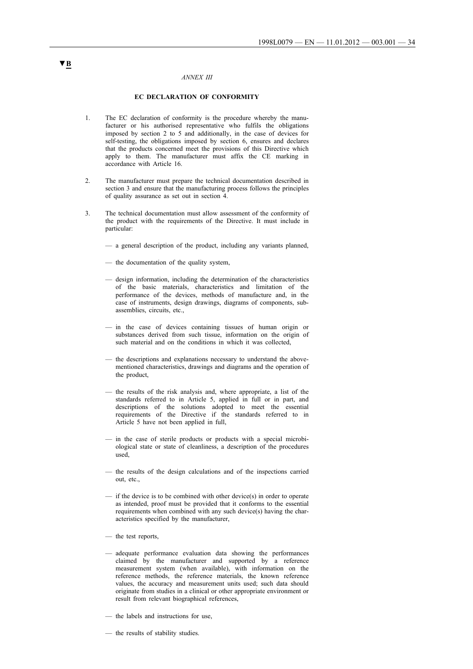#### *ANNEX III*

### **EC DECLARATION OF CONFORMITY**

- 1. The EC declaration of conformity is the procedure whereby the manufacturer or his authorised representative who fulfils the obligations imposed by section 2 to 5 and additionally, in the case of devices for self-testing, the obligations imposed by section 6, ensures and declares that the products concerned meet the provisions of this Directive which apply to them. The manufacturer must affix the CE marking in accordance with Article 16.
- 2. The manufacturer must prepare the technical documentation described in section 3 and ensure that the manufacturing process follows the principles of quality assurance as set out in section 4.
- 3. The technical documentation must allow assessment of the conformity of the product with the requirements of the Directive. It must include in particular:
	- a general description of the product, including any variants planned,
	- the documentation of the quality system,
	- design information, including the determination of the characteristics of the basic materials, characteristics and limitation of the performance of the devices, methods of manufacture and, in the case of instruments, design drawings, diagrams of components, subassemblies, circuits, etc.,
	- in the case of devices containing tissues of human origin or substances derived from such tissue, information on the origin of such material and on the conditions in which it was collected,
	- the descriptions and explanations necessary to understand the abovementioned characteristics, drawings and diagrams and the operation of the product,
	- the results of the risk analysis and, where appropriate, a list of the standards referred to in Article 5, applied in full or in part, and descriptions of the solutions adopted to meet the essential requirements of the Directive if the standards referred to in Article 5 have not been applied in full,
	- in the case of sterile products or products with a special microbiological state or state of cleanliness, a description of the procedures used,
	- the results of the design calculations and of the inspections carried out, etc.,
	- if the device is to be combined with other device(s) in order to operate as intended, proof must be provided that it conforms to the essential requirements when combined with any such device(s) having the characteristics specified by the manufacturer,
	- the test reports,
	- adequate performance evaluation data showing the performances claimed by the manufacturer and supported by a reference measurement system (when available), with information on the reference methods, the reference materials, the known reference values, the accuracy and measurement units used; such data should originate from studies in a clinical or other appropriate environment or result from relevant biographical references,
	- the labels and instructions for use,
	- the results of stability studies.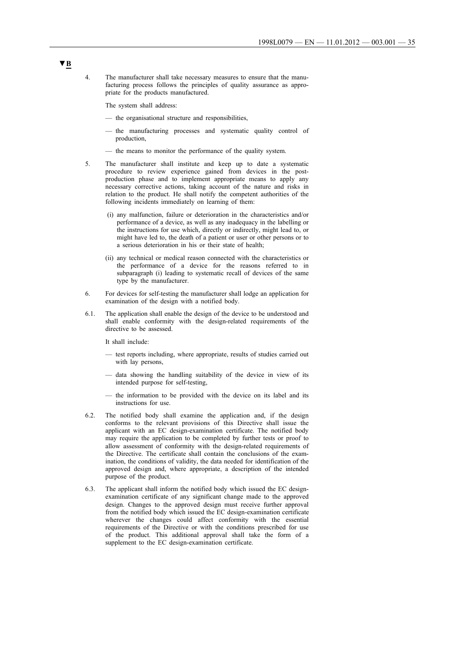4. The manufacturer shall take necessary measures to ensure that the manufacturing process follows the principles of quality assurance as appropriate for the products manufactured.

The system shall address:

- the organisational structure and responsibilities,
- the manufacturing processes and systematic quality control of production,
- the means to monitor the performance of the quality system.
- 5. The manufacturer shall institute and keep up to date a systematic procedure to review experience gained from devices in the postproduction phase and to implement appropriate means to apply any necessary corrective actions, taking account of the nature and risks in relation to the product. He shall notify the competent authorities of the following incidents immediately on learning of them:
	- (i) any malfunction, failure or deterioration in the characteristics and/or performance of a device, as well as any inadequacy in the labelling or the instructions for use which, directly or indirectly, might lead to, or might have led to, the death of a patient or user or other persons or to a serious deterioration in his or their state of health;
	- (ii) any technical or medical reason connected with the characteristics or the performance of a device for the reasons referred to in subparagraph (i) leading to systematic recall of devices of the same type by the manufacturer.
- 6. For devices for self-testing the manufacturer shall lodge an application for examination of the design with a notified body.
- 6.1. The application shall enable the design of the device to be understood and shall enable conformity with the design-related requirements of the directive to be assessed.

It shall include:

- test reports including, where appropriate, results of studies carried out with lay persons,
- data showing the handling suitability of the device in view of its intended purpose for self-testing,
- the information to be provided with the device on its label and its instructions for use.
- 6.2. The notified body shall examine the application and, if the design conforms to the relevant provisions of this Directive shall issue the applicant with an EC design-examination certificate. The notified body may require the application to be completed by further tests or proof to allow assessment of conformity with the design-related requirements of the Directive. The certificate shall contain the conclusions of the examination, the conditions of validity, the data needed for identification of the approved design and, where appropriate, a description of the intended purpose of the product.
- 6.3. The applicant shall inform the notified body which issued the EC designexamination certificate of any significant change made to the approved design. Changes to the approved design must receive further approval from the notified body which issued the EC design-examination certificate wherever the changes could affect conformity with the essential requirements of the Directive or with the conditions prescribed for use of the product. This additional approval shall take the form of a supplement to the EC design-examination certificate.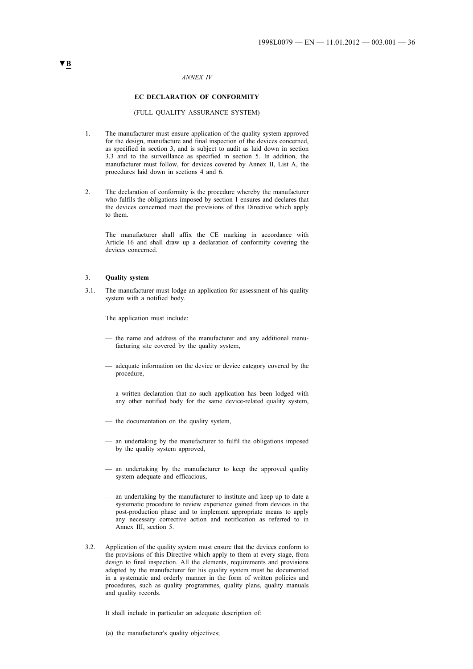### *ANNEX IV*

### **EC DECLARATION OF CONFORMITY**

#### (FULL QUALITY ASSURANCE SYSTEM)

- 1. The manufacturer must ensure application of the quality system approved for the design, manufacture and final inspection of the devices concerned, as specified in section 3, and is subject to audit as laid down in section 3.3 and to the surveillance as specified in section 5. In addition, the manufacturer must follow, for devices covered by Annex II, List A, the procedures laid down in sections 4 and 6.
- 2. The declaration of conformity is the procedure whereby the manufacturer who fulfils the obligations imposed by section 1 ensures and declares that the devices concerned meet the provisions of this Directive which apply to them.

The manufacturer shall affix the CE marking in accordance with Article 16 and shall draw up a declaration of conformity covering the devices concerned.

## 3. **Quality system**

3.1. The manufacturer must lodge an application for assessment of his quality system with a notified body.

The application must include:

- the name and address of the manufacturer and any additional manufacturing site covered by the quality system,
- adequate information on the device or device category covered by the procedure,
- a written declaration that no such application has been lodged with any other notified body for the same device-related quality system,
- the documentation on the quality system,
- an undertaking by the manufacturer to fulfil the obligations imposed by the quality system approved,
- an undertaking by the manufacturer to keep the approved quality system adequate and efficacious,
- an undertaking by the manufacturer to institute and keep up to date a systematic procedure to review experience gained from devices in the post-production phase and to implement appropriate means to apply any necessary corrective action and notification as referred to in Annex III, section 5.
- 3.2. Application of the quality system must ensure that the devices conform to the provisions of this Directive which apply to them at every stage, from design to final inspection. All the elements, requirements and provisions adopted by the manufacturer for his quality system must be documented in a systematic and orderly manner in the form of written policies and procedures, such as quality programmes, quality plans, quality manuals and quality records.

It shall include in particular an adequate description of:

(a) the manufacturer's quality objectives;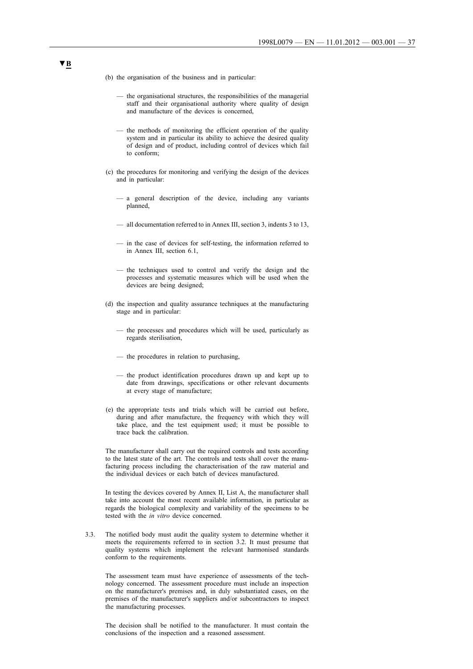- (b) the organisation of the business and in particular:
	- the organisational structures, the responsibilities of the managerial staff and their organisational authority where quality of design and manufacture of the devices is concerned,
	- the methods of monitoring the efficient operation of the quality system and in particular its ability to achieve the desired quality of design and of product, including control of devices which fail to conform;
- (c) the procedures for monitoring and verifying the design of the devices and in particular:
	- a general description of the device, including any variants planned,
	- all documentation referred to in Annex III, section 3, indents 3 to 13,
	- in the case of devices for self-testing, the information referred to in Annex III, section 6.1,
	- the techniques used to control and verify the design and the processes and systematic measures which will be used when the devices are being designed;
- (d) the inspection and quality assurance techniques at the manufacturing stage and in particular:
	- the processes and procedures which will be used, particularly as regards sterilisation,
	- the procedures in relation to purchasing,
	- the product identification procedures drawn up and kept up to date from drawings, specifications or other relevant documents at every stage of manufacture;
- (e) the appropriate tests and trials which will be carried out before, during and after manufacture, the frequency with which they will take place, and the test equipment used; it must be possible to trace back the calibration.

The manufacturer shall carry out the required controls and tests according to the latest state of the art. The controls and tests shall cover the manufacturing process including the characterisation of the raw material and the individual devices or each batch of devices manufactured.

In testing the devices covered by Annex II, List A, the manufacturer shall take into account the most recent available information, in particular as regards the biological complexity and variability of the specimens to be tested with the *in vitro* device concerned.

3.3. The notified body must audit the quality system to determine whether it meets the requirements referred to in section 3.2. It must presume that quality systems which implement the relevant harmonised standards conform to the requirements.

The assessment team must have experience of assessments of the technology concerned. The assessment procedure must include an inspection on the manufacturer's premises and, in duly substantiated cases, on the premises of the manufacturer's suppliers and/or subcontractors to inspect the manufacturing processes.

The decision shall be notified to the manufacturer. It must contain the conclusions of the inspection and a reasoned assessment.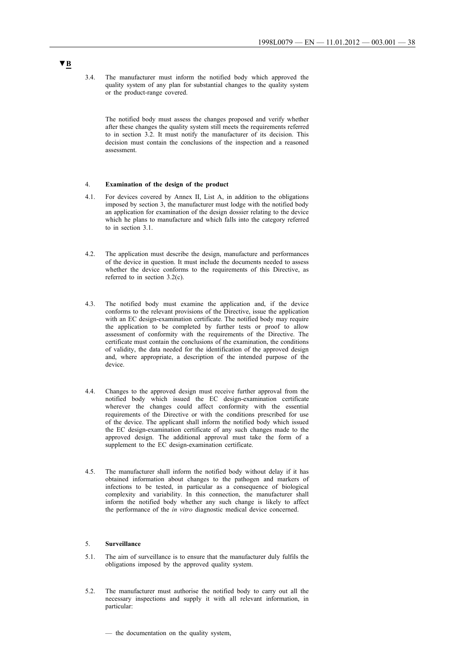3.4. The manufacturer must inform the notified body which approved the quality system of any plan for substantial changes to the quality system or the product-range covered.

The notified body must assess the changes proposed and verify whether after these changes the quality system still meets the requirements referred to in section 3.2. It must notify the manufacturer of its decision. This decision must contain the conclusions of the inspection and a reasoned assessment.

#### 4. **Examination of the design of the product**

- 4.1. For devices covered by Annex II, List A, in addition to the obligations imposed by section 3, the manufacturer must lodge with the notified body an application for examination of the design dossier relating to the device which he plans to manufacture and which falls into the category referred to in section 3.1.
- 4.2. The application must describe the design, manufacture and performances of the device in question. It must include the documents needed to assess whether the device conforms to the requirements of this Directive, as referred to in section 3.2(c).
- 4.3. The notified body must examine the application and, if the device conforms to the relevant provisions of the Directive, issue the application with an EC design-examination certificate. The notified body may require the application to be completed by further tests or proof to allow assessment of conformity with the requirements of the Directive. The certificate must contain the conclusions of the examination, the conditions of validity, the data needed for the identification of the approved design and, where appropriate, a description of the intended purpose of the device.
- 4.4. Changes to the approved design must receive further approval from the notified body which issued the EC design-examination certificate wherever the changes could affect conformity with the essential requirements of the Directive or with the conditions prescribed for use of the device. The applicant shall inform the notified body which issued the EC design-examination certificate of any such changes made to the approved design. The additional approval must take the form of a supplement to the EC design-examination certificate.
- 4.5. The manufacturer shall inform the notified body without delay if it has obtained information about changes to the pathogen and markers of infections to be tested, in particular as a consequence of biological complexity and variability. In this connection, the manufacturer shall inform the notified body whether any such change is likely to affect the performance of the *in vitro* diagnostic medical device concerned.

## 5. **Surveillance**

- 5.1. The aim of surveillance is to ensure that the manufacturer duly fulfils the obligations imposed by the approved quality system.
- 5.2. The manufacturer must authorise the notified body to carry out all the necessary inspections and supply it with all relevant information, in particular:

— the documentation on the quality system,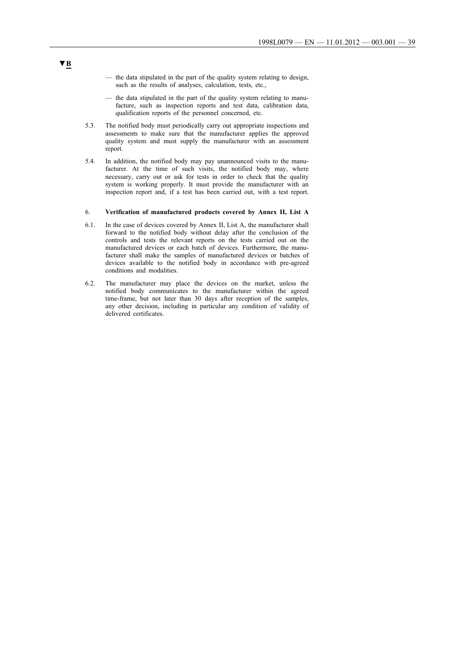- the data stipulated in the part of the quality system relating to design, such as the results of analyses, calculation, tests, etc.,
- the data stipulated in the part of the quality system relating to manufacture, such as inspection reports and test data, calibration data, qualification reports of the personnel concerned, etc.
- 5.3. The notified body must periodically carry out appropriate inspections and assessments to make sure that the manufacturer applies the approved quality system and must supply the manufacturer with an assessment report.
- 5.4. In addition, the notified body may pay unannounced visits to the manufacturer. At the time of such visits, the notified body may, where necessary, carry out or ask for tests in order to check that the quality system is working properly. It must provide the manufacturer with an inspection report and, if a test has been carried out, with a test report.

### 6. **Verification of manufactured products covered by Annex II, List A**

- 6.1. In the case of devices covered by Annex II, List A, the manufacturer shall forward to the notified body without delay after the conclusion of the controls and tests the relevant reports on the tests carried out on the manufactured devices or each batch of devices. Furthermore, the manufacturer shall make the samples of manufactured devices or batches of devices available to the notified body in accordance with pre-agreed conditions and modalities.
- 6.2. The manufacturer may place the devices on the market, unless the notified body communicates to the manufacturer within the agreed time-frame, but not later than 30 days after reception of the samples, any other decision, including in particular any condition of validity of delivered certificates.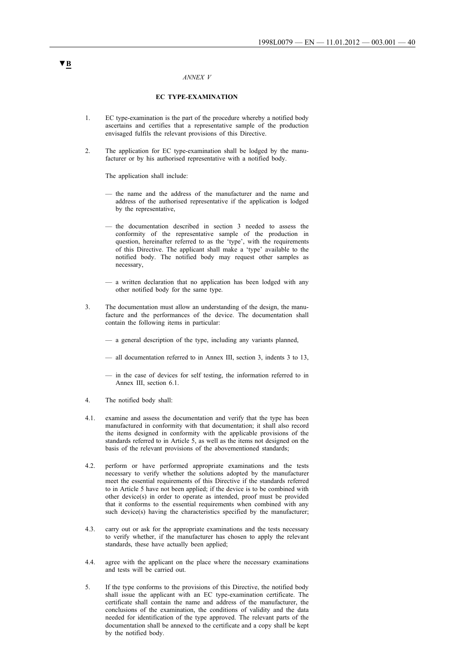### *ANNEX V*

#### **EC TYPE-EXAMINATION**

- 1. EC type-examination is the part of the procedure whereby a notified body ascertains and certifies that a representative sample of the production envisaged fulfils the relevant provisions of this Directive.
- 2. The application for EC type-examination shall be lodged by the manufacturer or by his authorised representative with a notified body.

The application shall include:

- the name and the address of the manufacturer and the name and address of the authorised representative if the application is lodged by the representative,
- the documentation described in section 3 needed to assess the conformity of the representative sample of the production in question, hereinafter referred to as the 'type', with the requirements of this Directive. The applicant shall make a 'type' available to the notified body. The notified body may request other samples as necessary,
- a written declaration that no application has been lodged with any other notified body for the same type.
- 3. The documentation must allow an understanding of the design, the manufacture and the performances of the device. The documentation shall contain the following items in particular:
	- a general description of the type, including any variants planned,
	- all documentation referred to in Annex III, section 3, indents 3 to 13,
	- in the case of devices for self testing, the information referred to in Annex III, section 6.1.
- 4. The notified body shall:
- 4.1. examine and assess the documentation and verify that the type has been manufactured in conformity with that documentation; it shall also record the items designed in conformity with the applicable provisions of the standards referred to in Article 5, as well as the items not designed on the basis of the relevant provisions of the abovementioned standards;
- 4.2. perform or have performed appropriate examinations and the tests necessary to verify whether the solutions adopted by the manufacturer meet the essential requirements of this Directive if the standards referred to in Article 5 have not been applied; if the device is to be combined with other device(s) in order to operate as intended, proof must be provided that it conforms to the essential requirements when combined with any such device(s) having the characteristics specified by the manufacturer;
- 4.3. carry out or ask for the appropriate examinations and the tests necessary to verify whether, if the manufacturer has chosen to apply the relevant standards, these have actually been applied;
- 4.4. agree with the applicant on the place where the necessary examinations and tests will be carried out.
- 5. If the type conforms to the provisions of this Directive, the notified body shall issue the applicant with an EC type-examination certificate. The certificate shall contain the name and address of the manufacturer, the conclusions of the examination, the conditions of validity and the data needed for identification of the type approved. The relevant parts of the documentation shall be annexed to the certificate and a copy shall be kept by the notified body.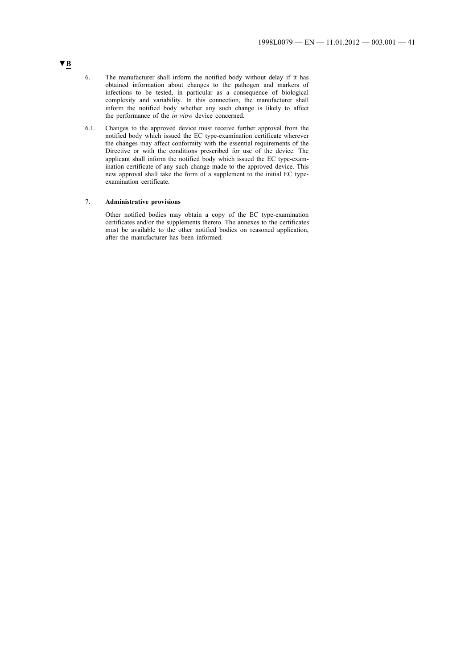- 6. The manufacturer shall inform the notified body without delay if it has obtained information about changes to the pathogen and markers of infections to be tested, in particular as a consequence of biological complexity and variability. In this connection, the manufacturer shall inform the notified body whether any such change is likely to affect the performance of the *in vitro* device concerned.
- 6.1. Changes to the approved device must receive further approval from the notified body which issued the EC type-examination certificate wherever the changes may affect conformity with the essential requirements of the Directive or with the conditions prescribed for use of the device. The applicant shall inform the notified body which issued the EC type-examination certificate of any such change made to the approved device. This new approval shall take the form of a supplement to the initial EC typeexamination certificate.

#### 7. **Administrative provisions**

Other notified bodies may obtain a copy of the EC type-examination certificates and/or the supplements thereto. The annexes to the certificates must be available to the other notified bodies on reasoned application, after the manufacturer has been informed.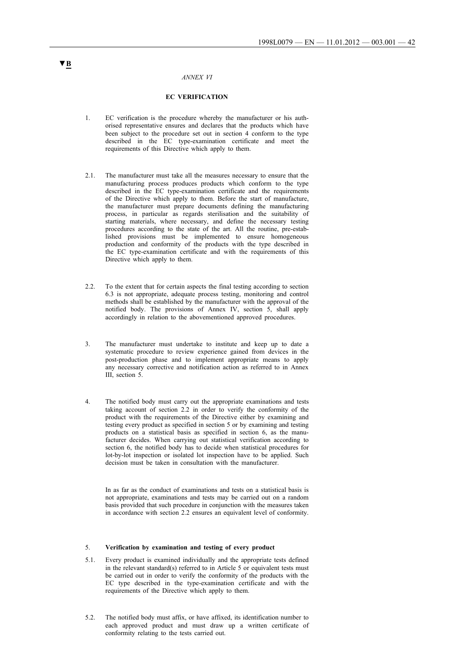#### *ANNEX VI*

### **EC VERIFICATION**

- 1. EC verification is the procedure whereby the manufacturer or his authorised representative ensures and declares that the products which have been subject to the procedure set out in section 4 conform to the type described in the EC type-examination certificate and meet the requirements of this Directive which apply to them.
- 2.1. The manufacturer must take all the measures necessary to ensure that the manufacturing process produces products which conform to the type described in the EC type-examination certificate and the requirements of the Directive which apply to them. Before the start of manufacture, the manufacturer must prepare documents defining the manufacturing process, in particular as regards sterilisation and the suitability of starting materials, where necessary, and define the necessary testing procedures according to the state of the art. All the routine, pre-established provisions must be implemented to ensure homogeneous production and conformity of the products with the type described in the EC type-examination certificate and with the requirements of this Directive which apply to them.
- 2.2. To the extent that for certain aspects the final testing according to section 6.3 is not appropriate, adequate process testing, monitoring and control methods shall be established by the manufacturer with the approval of the notified body. The provisions of Annex IV, section 5, shall apply accordingly in relation to the abovementioned approved procedures.
- 3. The manufacturer must undertake to institute and keep up to date a systematic procedure to review experience gained from devices in the post-production phase and to implement appropriate means to apply any necessary corrective and notification action as referred to in Annex III, section 5.
- 4. The notified body must carry out the appropriate examinations and tests taking account of section 2.2 in order to verify the conformity of the product with the requirements of the Directive either by examining and testing every product as specified in section 5 or by examining and testing products on a statistical basis as specified in section 6, as the manufacturer decides. When carrying out statistical verification according to section 6, the notified body has to decide when statistical procedures for lot-by-lot inspection or isolated lot inspection have to be applied. Such decision must be taken in consultation with the manufacturer.

In as far as the conduct of examinations and tests on a statistical basis is not appropriate, examinations and tests may be carried out on a random basis provided that such procedure in conjunction with the measures taken in accordance with section 2.2 ensures an equivalent level of conformity.

#### 5. **Verification by examination and testing of every product**

- 5.1. Every product is examined individually and the appropriate tests defined in the relevant standard(s) referred to in Article 5 or equivalent tests must be carried out in order to verify the conformity of the products with the EC type described in the type-examination certificate and with the requirements of the Directive which apply to them.
- 5.2. The notified body must affix, or have affixed, its identification number to each approved product and must draw up a written certificate of conformity relating to the tests carried out.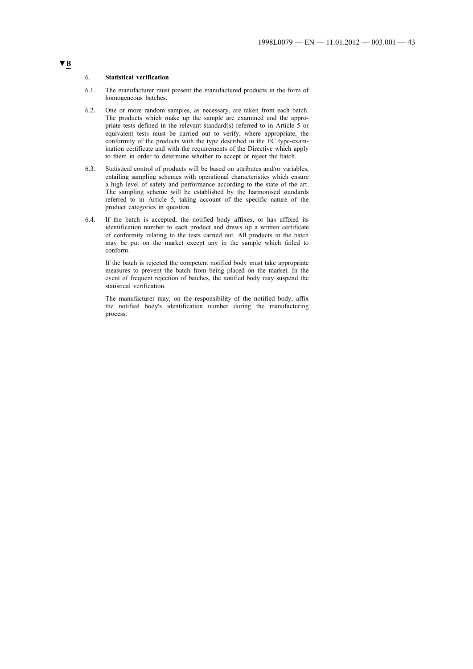#### 6. **Statistical verification**

- 6.1. The manufacturer must present the manufactured products in the form of homogeneous batches.
- 6.2. One or more random samples, as necessary, are taken from each batch. The products which make up the sample are examined and the appropriate tests defined in the relevant standard(s) referred to in Article 5 or equivalent tests must be carried out to verify, where appropriate, the conformity of the products with the type described in the EC type-examination certificate and with the requirements of the Directive which apply to them in order to determine whether to accept or reject the batch.
- 6.3. Statistical control of products will be based on attributes and/or variables, entailing sampling schemes with operational characteristics which ensure a high level of safety and performance according to the state of the art. The sampling scheme will be established by the harmonised standards referred to in Article 5, taking account of the specific nature of the product categories in question.
- 6.4. If the batch is accepted, the notified body affixes, or has affixed its identification number to each product and draws up a written certificate of conformity relating to the tests carried out. All products in the batch may be put on the market except any in the sample which failed to conform.

If the batch is rejected the competent notified body must take appropriate measures to prevent the batch from being placed on the market. In the event of frequent rejection of batches, the notified body may suspend the statistical verification.

The manufacturer may, on the responsibility of the notified body, affix the notified body's identification number during the manufacturing process.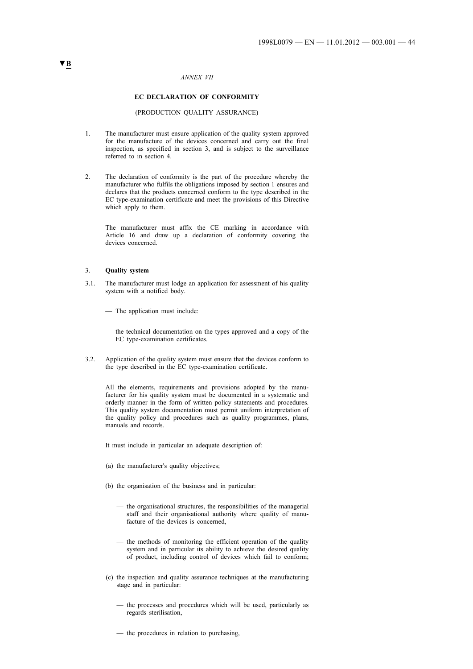### *ANNEX VII*

### **EC DECLARATION OF CONFORMITY**

## (PRODUCTION QUALITY ASSURANCE)

- 1. The manufacturer must ensure application of the quality system approved for the manufacture of the devices concerned and carry out the final inspection, as specified in section 3, and is subject to the surveillance referred to in section 4.
- 2. The declaration of conformity is the part of the procedure whereby the manufacturer who fulfils the obligations imposed by section 1 ensures and declares that the products concerned conform to the type described in the EC type-examination certificate and meet the provisions of this Directive which apply to them.

The manufacturer must affix the CE marking in accordance with Article 16 and draw up a declaration of conformity covering the devices concerned.

### 3. **Quality system**

- 3.1. The manufacturer must lodge an application for assessment of his quality system with a notified body.
	- The application must include:
	- the technical documentation on the types approved and a copy of the EC type-examination certificates.
- 3.2. Application of the quality system must ensure that the devices conform to the type described in the EC type-examination certificate.

All the elements, requirements and provisions adopted by the manufacturer for his quality system must be documented in a systematic and orderly manner in the form of written policy statements and procedures. This quality system documentation must permit uniform interpretation of the quality policy and procedures such as quality programmes, plans, manuals and records.

It must include in particular an adequate description of:

- (a) the manufacturer's quality objectives;
- (b) the organisation of the business and in particular:
	- the organisational structures, the responsibilities of the managerial staff and their organisational authority where quality of manufacture of the devices is concerned,
	- the methods of monitoring the efficient operation of the quality system and in particular its ability to achieve the desired quality of product, including control of devices which fail to conform;
- (c) the inspection and quality assurance techniques at the manufacturing stage and in particular:
	- the processes and procedures which will be used, particularly as regards sterilisation,
	- the procedures in relation to purchasing,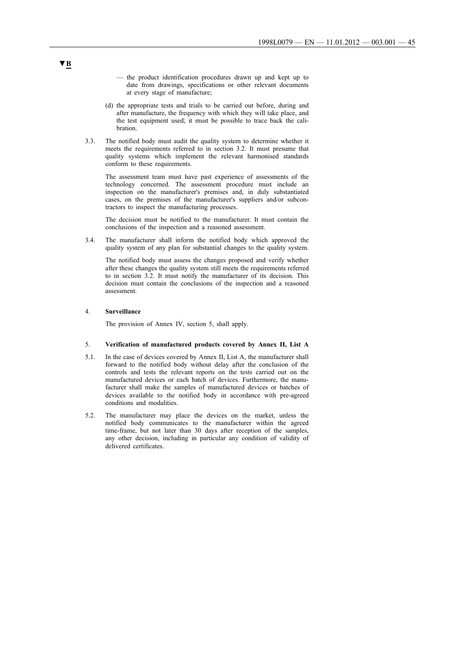- the product identification procedures drawn up and kept up to date from drawings, specifications or other relevant documents at every stage of manufacture;
- (d) the appropriate tests and trials to be carried out before, during and after manufacture, the frequency with which they will take place, and the test equipment used; it must be possible to trace back the calibration.
- 3.3. The notified body must audit the quality system to determine whether it meets the requirements referred to in section 3.2. It must presume that quality systems which implement the relevant harmonised standards conform to these requirements.

The assessment team must have past experience of assessments of the technology concerned. The assessment procedure must include an inspection on the manufacturer's premises and, in duly substantiated cases, on the premises of the manufacturer's suppliers and/or subcontractors to inspect the manufacturing processes.

The decision must be notified to the manufacturer. It must contain the conclusions of the inspection and a reasoned assessment.

3.4. The manufacturer shall inform the notified body which approved the quality system of any plan for substantial changes to the quality system.

The notified body must assess the changes proposed and verify whether after these changes the quality system still meets the requirements referred to in section 3.2. It must notify the manufacturer of its decision. This decision must contain the conclusions of the inspection and a reasoned assessment.

### 4. **Surveillance**

The provision of Annex IV, section 5, shall apply.

### 5. **Verification of manufactured products covered by Annex II, List A**

- 5.1. In the case of devices covered by Annex II, List A, the manufacturer shall forward to the notified body without delay after the conclusion of the controls and tests the relevant reports on the tests carried out on the manufactured devices or each batch of devices. Furthermore, the manufacturer shall make the samples of manufactured devices or batches of devices available to the notified body in accordance with pre-agreed conditions and modalities.
- 5.2. The manufacturer may place the devices on the market, unless the notified body communicates to the manufacturer within the agreed time-frame, but not later than 30 days after reception of the samples, any other decision, including in particular any condition of validity of delivered certificates.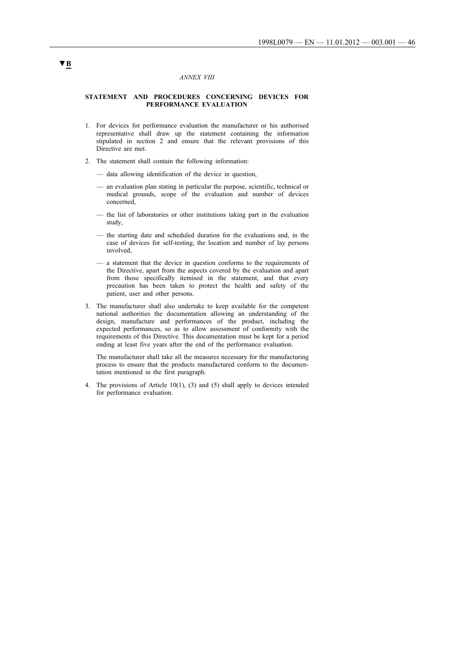#### *ANNEX VIII*

#### **STATEMENT AND PROCEDURES CONCERNING DEVICES FOR PERFORMANCE EVALUATION**

- 1. For devices for performance evaluation the manufacturer or his authorised representative shall draw up the statement containing the information stipulated in section 2 and ensure that the relevant provisions of this Directive are met.
- 2. The statement shall contain the following information:
	- data allowing identification of the device in question,
	- an evaluation plan stating in particular the purpose, scientific, technical or medical grounds, scope of the evaluation and number of devices concerned,
	- the list of laboratories or other institutions taking part in the evaluation study,
	- the starting date and scheduled duration for the evaluations and, in the case of devices for self-testing, the location and number of lay persons involved,
	- a statement that the device in question conforms to the requirements of the Directive, apart from the aspects covered by the evaluation and apart from those specifically itemised in the statement, and that every precaution has been taken to protect the health and safety of the patient, user and other persons.
- 3. The manufacturer shall also undertake to keep available for the competent national authorities the documentation allowing an understanding of the design, manufacture and performances of the product, including the expected performances, so as to allow assessment of conformity with the requirements of this Directive. This documentation must be kept for a period ending at least five years after the end of the performance evaluation.

The manufacturer shall take all the measures necessary for the manufacturing process to ensure that the products manufactured conform to the documentation mentioned in the first paragraph.

4. The provisions of Article 10(1), (3) and (5) shall apply to devices intended for performance evaluation.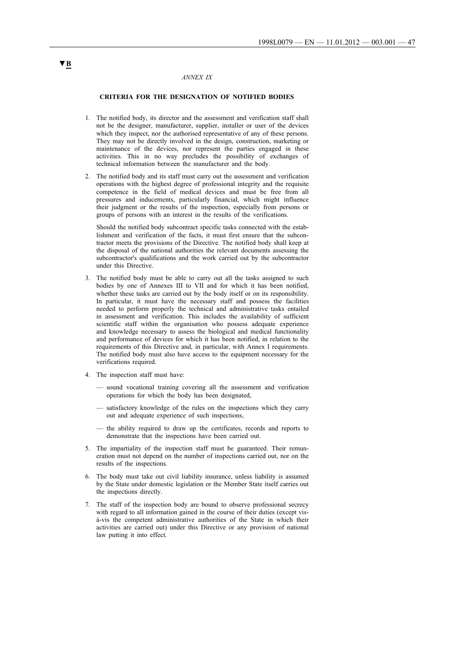#### *ANNEX IX*

### **CRITERIA FOR THE DESIGNATION OF NOTIFIED BODIES**

- 1. The notified body, its director and the assessment and verification staff shall not be the designer, manufacturer, supplier, installer or user of the devices which they inspect, nor the authorised representative of any of these persons. They may not be directly involved in the design, construction, marketing or maintenance of the devices, nor represent the parties engaged in these activities. This in no way precludes the possibility of exchanges of technical information between the manufacturer and the body.
- 2. The notified body and its staff must carry out the assessment and verification operations with the highest degree of professional integrity and the requisite competence in the field of medical devices and must be free from all pressures and inducements, particularly financial, which might influence their judgment or the results of the inspection, especially from persons or groups of persons with an interest in the results of the verifications.

Should the notified body subcontract specific tasks connected with the establishment and verification of the facts, it must first ensure that the subcontractor meets the provisions of the Directive. The notified body shall keep at the disposal of the national authorities the relevant documents assessing the subcontractor's qualifications and the work carried out by the subcontractor under this Directive.

- 3. The notified body must be able to carry out all the tasks assigned to such bodies by one of Annexes III to VII and for which it has been notified, whether these tasks are carried out by the body itself or on its responsibility. In particular, it must have the necessary staff and possess the facilities needed to perform properly the technical and administrative tasks entailed in assessment and verification. This includes the availability of sufficient scientific staff within the organisation who possess adequate experience and knowledge necessary to assess the biological and medical functionality and performance of devices for which it has been notified, in relation to the requirements of this Directive and, in particular, with Annex I requirements. The notified body must also have access to the equipment necessary for the verifications required.
- 4. The inspection staff must have:
	- sound vocational training covering all the assessment and verification operations for which the body has been designated,
	- satisfactory knowledge of the rules on the inspections which they carry out and adequate experience of such inspections,
	- the ability required to draw up the certificates, records and reports to demonstrate that the inspections have been carried out.
- 5. The impartiality of the inspection staff must be guaranteed. Their remuneration must not depend on the number of inspections carried out, nor on the results of the inspections.
- 6. The body must take out civil liability insurance, unless liability is assumed by the State under domestic legislation or the Member State itself carries out the inspections directly.
- 7. The staff of the inspection body are bound to observe professional secrecy with regard to all information gained in the course of their duties (except visà-vis the competent administrative authorities of the State in which their activities are carried out) under this Directive or any provision of national law putting it into effect.